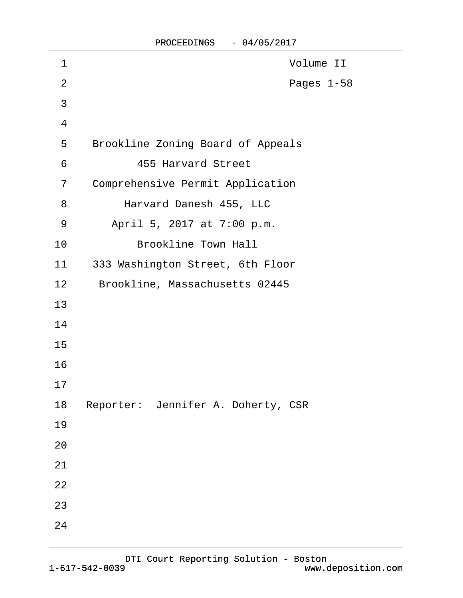| 1              | Volume II                                |
|----------------|------------------------------------------|
| $\overline{2}$ | Pages 1-58                               |
| 3              |                                          |
| $\overline{4}$ |                                          |
| $\sqrt{5}$     | <b>Brookline Zoning Board of Appeals</b> |
| 6              | <b>455 Harvard Street</b>                |
| $\overline{7}$ | <b>Comprehensive Permit Application</b>  |
| 8              | Harvard Danesh 455, LLC                  |
| 9              | April 5, 2017 at 7:00 p.m.               |
| 10             | <b>Brookline Town Hall</b>               |
| 11             | 333 Washington Street, 6th Floor         |
| 12             | Brookline, Massachusetts 02445           |
| 13             |                                          |
| 14             |                                          |
| 15             |                                          |
| 16             |                                          |
| 17             |                                          |
| 18             | Reporter: Jennifer A. Doherty, CSR       |
| 19             |                                          |
| 20             |                                          |
| 21             |                                          |
| 22             |                                          |
| 23             |                                          |
| 24             |                                          |
|                |                                          |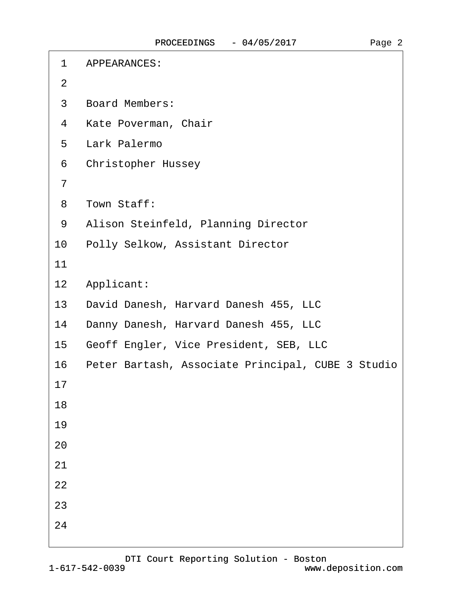$\Gamma$ 

| 1              | <b>APPEARANCES:</b>                               |
|----------------|---------------------------------------------------|
| $\overline{2}$ |                                                   |
| 3              | <b>Board Members:</b>                             |
| 4              | Kate Poverman, Chair                              |
| 5              | Lark Palermo                                      |
| 6              | <b>Christopher Hussey</b>                         |
| $\overline{7}$ |                                                   |
| 8              | Town Staff:                                       |
| 9              | Alison Steinfeld, Planning Director               |
| 10             | Polly Selkow, Assistant Director                  |
| 11             |                                                   |
| 12             | Applicant:                                        |
| 13             | David Danesh, Harvard Danesh 455, LLC             |
| 14             | Danny Danesh, Harvard Danesh 455, LLC             |
| 15             | Geoff Engler, Vice President, SEB, LLC            |
| 16             | Peter Bartash, Associate Principal, CUBE 3 Studio |
| 17             |                                                   |
| 18             |                                                   |
| 19             |                                                   |
| 20             |                                                   |
| 21             |                                                   |
| 22             |                                                   |
| 23             |                                                   |
| 24             |                                                   |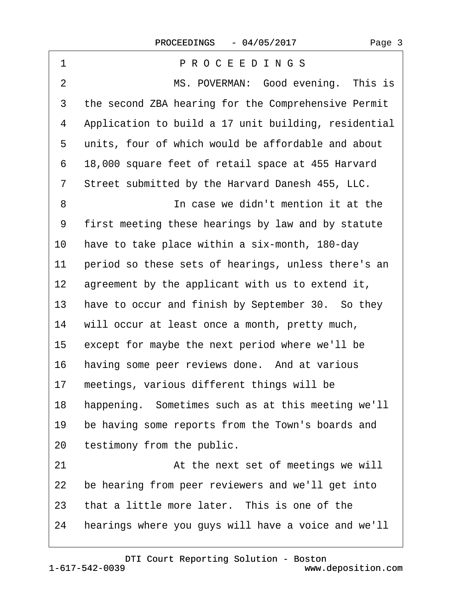| 1              | PROCEEDINGS                                          |
|----------------|------------------------------------------------------|
| $\overline{2}$ | MS. POVERMAN: Good evening. This is                  |
| 3              | the second ZBA hearing for the Comprehensive Permit  |
| 4              | Application to build a 17 unit building, residential |
| 5              | units, four of which would be affordable and about   |
| 6              | 18,000 square feet of retail space at 455 Harvard    |
| 7              | Street submitted by the Harvard Danesh 455, LLC.     |
| 8              | In case we didn't mention it at the                  |
| 9              | first meeting these hearings by law and by statute   |
| 10             | have to take place within a six-month, 180-day       |
| 11             | period so these sets of hearings, unless there's an  |
| 12             | agreement by the applicant with us to extend it,     |
| 13             | have to occur and finish by September 30. So they    |
| 14             | will occur at least once a month, pretty much,       |
| $15\,$         | except for maybe the next period where we'll be      |
| 16             | having some peer reviews done. And at various        |
| 17             | meetings, various different things will be           |
| 18             | happening. Sometimes such as at this meeting we'll   |
| 19             | be having some reports from the Town's boards and    |
| 20             | testimony from the public.                           |
| 21             | At the next set of meetings we will                  |
| 22             | be hearing from peer reviewers and we'll get into    |
| 23             | that a little more later. This is one of the         |
| 24             | hearings where you guys will have a voice and we'll  |
|                |                                                      |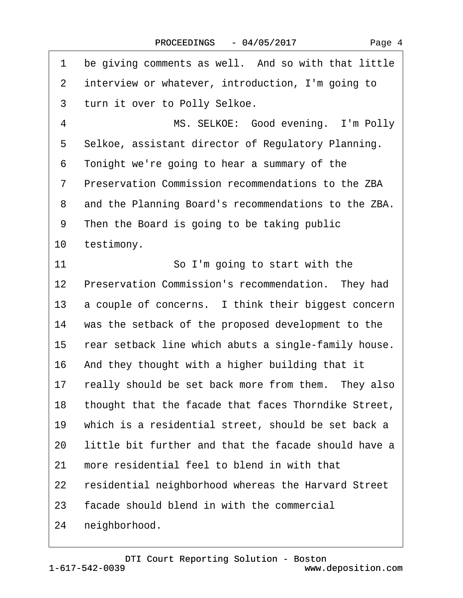|  | Page 4 |  |
|--|--------|--|
|--|--------|--|

| 1               | be giving comments as well. And so with that little  |
|-----------------|------------------------------------------------------|
| $\overline{2}$  | interview or whatever, introduction, I'm going to    |
| 3               | turn it over to Polly Selkoe.                        |
| 4               | MS. SELKOE: Good evening. I'm Polly                  |
| 5               | Selkoe, assistant director of Regulatory Planning.   |
| 6               | Tonight we're going to hear a summary of the         |
| 7               | Preservation Commission recommendations to the ZBA   |
| 8               | and the Planning Board's recommendations to the ZBA. |
| 9               | Then the Board is going to be taking public          |
| 10              | testimony.                                           |
| 11              | So I'm going to start with the                       |
| 12 <sub>2</sub> | Preservation Commission's recommendation. They had   |
| 13              | a couple of concerns. I think their biggest concern  |
| 14              | was the setback of the proposed development to the   |
| 15              | rear setback line which abuts a single-family house. |
| 16              | And they thought with a higher building that it      |
| 17              | really should be set back more from them. They also  |
| 18              | thought that the facade that faces Thorndike Street, |
| 19              | which is a residential street, should be set back a  |
| 20              | little bit further and that the facade should have a |
| 21              | more residential feel to blend in with that          |
| 22              | residential neighborhood whereas the Harvard Street  |
| 23              | facade should blend in with the commercial           |
| 24              | neighborhood.                                        |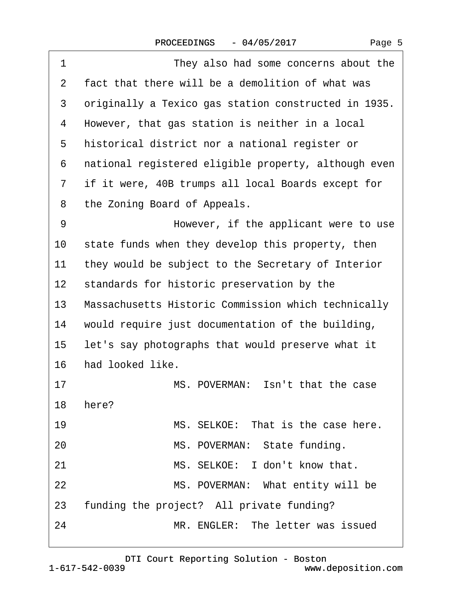| 1            | They also had some concerns about the                |
|--------------|------------------------------------------------------|
| $\mathbf{2}$ | fact that there will be a demolition of what was     |
| 3            | originally a Texico gas station constructed in 1935. |
| 4            | However, that gas station is neither in a local      |
| 5            | historical district nor a national register or       |
| 6            | national registered eligible property, although even |
| 7            | if it were, 40B trumps all local Boards except for   |
| 8            | the Zoning Board of Appeals.                         |
| 9            | However, if the applicant were to use                |
| 10           | state funds when they develop this property, then    |
| 11           | they would be subject to the Secretary of Interior   |
| 12           | standards for historic preservation by the           |
| 13           | Massachusetts Historic Commission which technically  |
| 14           | would require just documentation of the building,    |
| 15           | let's say photographs that would preserve what it    |
| 16           | had looked like.                                     |
| 17           | MS. POVERMAN: Isn't that the case                    |
| 18           | here?                                                |
| 19           | MS. SELKOE: That is the case here.                   |
| 20           | MS. POVERMAN: State funding.                         |
| 21           | MS. SELKOE: I don't know that.                       |
| 22           | MS. POVERMAN: What entity will be                    |
| 23           | funding the project? All private funding?            |
| 24           | MR. ENGLER: The letter was issued                    |
|              |                                                      |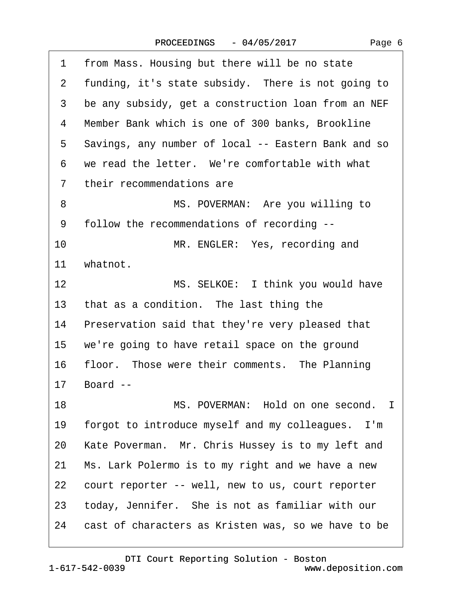| 1              | from Mass. Housing but there will be no state       |
|----------------|-----------------------------------------------------|
| $\mathbf{2}$   | funding, it's state subsidy. There is not going to  |
| 3              | be any subsidy, get a construction loan from an NEF |
| 4              | Member Bank which is one of 300 banks, Brookline    |
| 5              | Savings, any number of local -- Eastern Bank and so |
| 6              | we read the letter. We're comfortable with what     |
| $\overline{7}$ | their recommendations are                           |
| 8              | MS. POVERMAN: Are you willing to                    |
| 9              | follow the recommendations of recording --          |
| 10             | MR. ENGLER: Yes, recording and                      |
| 11             | whatnot.                                            |
| 12             | MS. SELKOE: I think you would have                  |
| 13             | that as a condition. The last thing the             |
| 14             | Preservation said that they're very pleased that    |
| 15             | we're going to have retail space on the ground      |
| 16             | floor. Those were their comments. The Planning      |
| 17             | Board --                                            |
| 18             | MS. POVERMAN: Hold on one second. I                 |
| 19             | forgot to introduce myself and my colleagues. I'm   |
| 20             | Kate Poverman. Mr. Chris Hussey is to my left and   |
| 21             | Ms. Lark Polermo is to my right and we have a new   |
| 22             | court reporter -- well, new to us, court reporter   |
| 23             | today, Jennifer. She is not as familiar with our    |
| 24             | cast of characters as Kristen was, so we have to be |
|                |                                                     |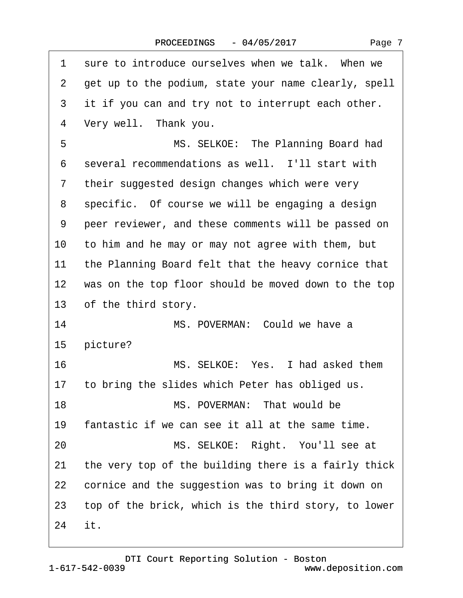| 1            | sure to introduce ourselves when we talk. When we    |
|--------------|------------------------------------------------------|
| $\mathbf{2}$ | get up to the podium, state your name clearly, spell |
| 3            | it if you can and try not to interrupt each other.   |
| 4            | Very well. Thank you.                                |
| 5            | MS. SELKOE: The Planning Board had                   |
| 6            | several recommendations as well. I'll start with     |
| 7            | their suggested design changes which were very       |
| 8            | specific. Of course we will be engaging a design     |
| 9            | peer reviewer, and these comments will be passed on  |
| 10           | to him and he may or may not agree with them, but    |
| 11           | the Planning Board felt that the heavy cornice that  |
| 12           | was on the top floor should be moved down to the top |
| 13           | of the third story.                                  |
| 14           | MS. POVERMAN: Could we have a                        |
| 15           | picture?                                             |
| 16           | MS. SELKOE: Yes. I had asked them                    |
|              | 17 to bring the slides which Peter has obliged us.   |
| 18           | MS. POVERMAN: That would be                          |
| 19           | fantastic if we can see it all at the same time.     |
| 20           | MS. SELKOE: Right. You'll see at                     |
| 21           | the very top of the building there is a fairly thick |
| 22           | cornice and the suggestion was to bring it down on   |
| 23           | top of the brick, which is the third story, to lower |
| 24           | it.                                                  |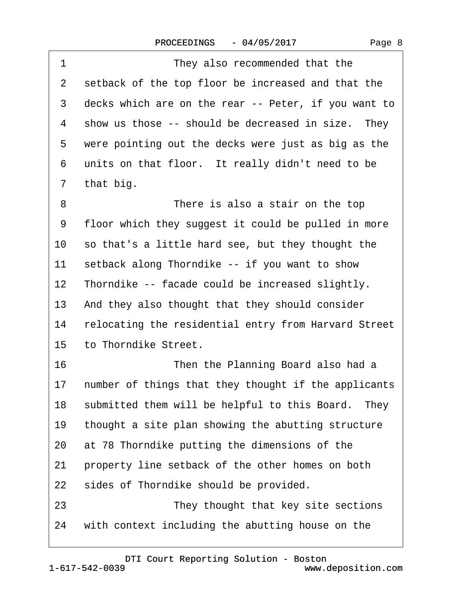| 1               | They also recommended that the                       |
|-----------------|------------------------------------------------------|
| 2               | setback of the top floor be increased and that the   |
| 3               | decks which are on the rear -- Peter, if you want to |
| 4               | show us those -- should be decreased in size. They   |
| 5               | were pointing out the decks were just as big as the  |
| 6               | units on that floor. It really didn't need to be     |
| 7               | that big.                                            |
| 8               | There is also a stair on the top                     |
| 9               | floor which they suggest it could be pulled in more  |
| 10              | so that's a little hard see, but they thought the    |
| 11              | setback along Thorndike -- if you want to show       |
| 12              | Thorndike -- facade could be increased slightly.     |
| 13              | And they also thought that they should consider      |
| 14              | relocating the residential entry from Harvard Street |
| 15 <sub>2</sub> | to Thorndike Street.                                 |
| 16              | Then the Planning Board also had a                   |
| 17              | number of things that they thought if the applicants |
| 18              | submitted them will be helpful to this Board. They   |
| 19              | thought a site plan showing the abutting structure   |
| 20              | at 78 Thorndike putting the dimensions of the        |
| 21              | property line setback of the other homes on both     |
| 22              | sides of Thorndike should be provided.               |
| 23              | They thought that key site sections                  |
| 24              | with context including the abutting house on the     |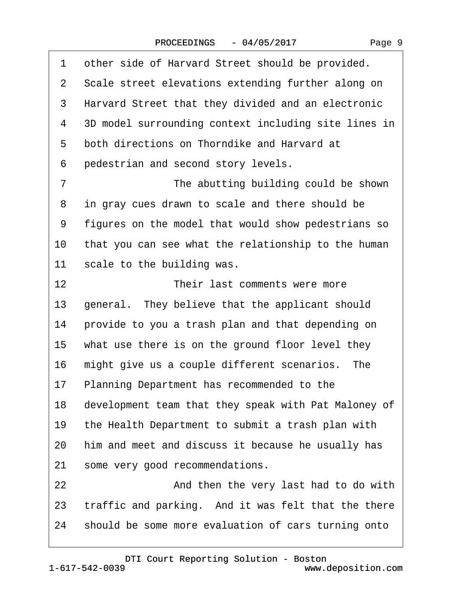| 1              | other side of Harvard Street should be provided.     |
|----------------|------------------------------------------------------|
|                | 2 Scale street elevations extending further along on |
| 3              | Harvard Street that they divided and an electronic   |
| 4              | 3D model surrounding context including site lines in |
| 5              | both directions on Thorndike and Harvard at          |
| 6              | pedestrian and second story levels.                  |
| $\overline{7}$ | The abutting building could be shown                 |
| 8              | in gray cues drawn to scale and there should be      |
| 9              | figures on the model that would show pedestrians so  |
| 10             | that you can see what the relationship to the human  |
| 11             | scale to the building was.                           |
| 12             | Their last comments were more                        |
| 13             | general. They believe that the applicant should      |
| 14             | provide to you a trash plan and that depending on    |
| 15             | what use there is on the ground floor level they     |
| 16             | might give us a couple different scenarios. The      |
| 17             | Planning Department has recommended to the           |
| 18             | development team that they speak with Pat Maloney of |
| 19             | the Health Department to submit a trash plan with    |
| 20             | him and meet and discuss it because he usually has   |
| 21             | some very good recommendations.                      |
| 22             | And then the very last had to do with                |
| 23             | traffic and parking. And it was felt that the there  |
| 24             | should be some more evaluation of cars turning onto  |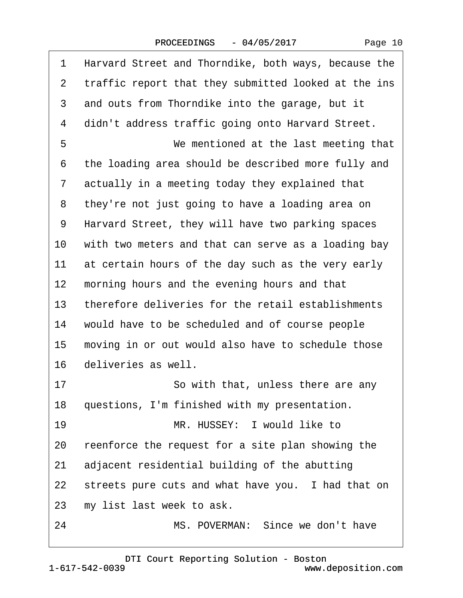| 1               | Harvard Street and Thorndike, both ways, because the |
|-----------------|------------------------------------------------------|
| 2               | traffic report that they submitted looked at the ins |
| 3               | and outs from Thorndike into the garage, but it      |
| 4               | didn't address traffic going onto Harvard Street.    |
| 5               | We mentioned at the last meeting that                |
| 6               | the loading area should be described more fully and  |
| 7               | actually in a meeting today they explained that      |
| 8               | they're not just going to have a loading area on     |
| 9               | Harvard Street, they will have two parking spaces    |
| 10              | with two meters and that can serve as a loading bay  |
| 11              | at certain hours of the day such as the very early   |
| 12              | morning hours and the evening hours and that         |
| 13              | therefore deliveries for the retail establishments   |
| 14              | would have to be scheduled and of course people      |
| 15              | moving in or out would also have to schedule those   |
| 16              | deliveries as well.                                  |
| 17              | So with that, unless there are any                   |
| 18              | questions, I'm finished with my presentation.        |
| 19              | MR. HUSSEY: I would like to                          |
| 20              | reenforce the request for a site plan showing the    |
| 21              | adjacent residential building of the abutting        |
| 22 <sub>2</sub> | streets pure cuts and what have you. I had that on   |
| 23              | my list last week to ask.                            |
| 24              | MS. POVERMAN: Since we don't have                    |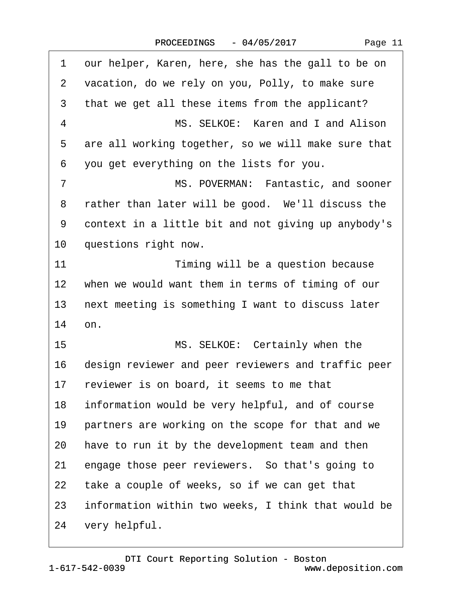| 1              | our helper, Karen, here, she has the gall to be on   |
|----------------|------------------------------------------------------|
| 2              | vacation, do we rely on you, Polly, to make sure     |
| 3              | that we get all these items from the applicant?      |
| 4              | MS. SELKOE: Karen and I and Alison                   |
| 5              | are all working together, so we will make sure that  |
| 6              | you get everything on the lists for you.             |
| $\overline{7}$ | MS. POVERMAN: Fantastic, and sooner                  |
| 8              | rather than later will be good. We'll discuss the    |
| 9              | context in a little bit and not giving up anybody's  |
| 10             | questions right now.                                 |
| 11             | Timing will be a question because                    |
|                | 12 when we would want them in terms of timing of our |
| 13             | next meeting is something I want to discuss later    |
| 14             | on.                                                  |
| 15             | MS. SELKOE: Certainly when the                       |
| 16             | design reviewer and peer reviewers and traffic peer  |
| 17             | reviewer is on board, it seems to me that            |
| 18             | information would be very helpful, and of course     |
| 19             | partners are working on the scope for that and we    |
| 20             | have to run it by the development team and then      |
| 21             | engage those peer reviewers. So that's going to      |
| 22             | take a couple of weeks, so if we can get that        |
| 23             | information within two weeks, I think that would be  |
| 24             | very helpful.                                        |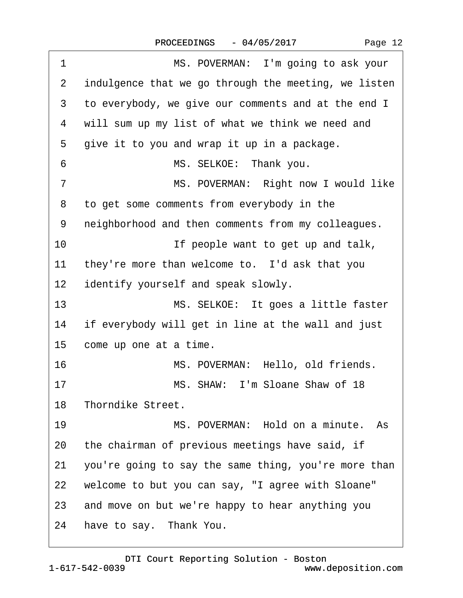|  | Page 12 |  |
|--|---------|--|
|--|---------|--|

| 1               | MS. POVERMAN: I'm going to ask your                  |
|-----------------|------------------------------------------------------|
| 2               | indulgence that we go through the meeting, we listen |
| 3               | to everybody, we give our comments and at the end I  |
| 4               | will sum up my list of what we think we need and     |
| 5               | give it to you and wrap it up in a package.          |
| 6               | MS. SELKOE: Thank you.                               |
| $\overline{7}$  | MS. POVERMAN: Right now I would like                 |
| 8               | to get some comments from everybody in the           |
| 9               | neighborhood and then comments from my colleagues.   |
| 10              | If people want to get up and talk,                   |
| 11              | they're more than welcome to. I'd ask that you       |
| 12 <sub>2</sub> | identify yourself and speak slowly.                  |
| 13              | MS. SELKOE: It goes a little faster                  |
| 14              | if everybody will get in line at the wall and just   |
| 15              | come up one at a time.                               |
| 16              | MS. POVERMAN: Hello, old friends.                    |
| 17              | MS. SHAW: I'm Sloane Shaw of 18                      |
|                 | 18 Thorndike Street.                                 |
| 19              | MS. POVERMAN: Hold on a minute. As                   |
| 20              | the chairman of previous meetings have said, if      |
| 21              | you're going to say the same thing, you're more than |
| 22              | welcome to but you can say, "I agree with Sloane"    |
|                 | 23 and move on but we're happy to hear anything you  |
| 24              | have to say. Thank You.                              |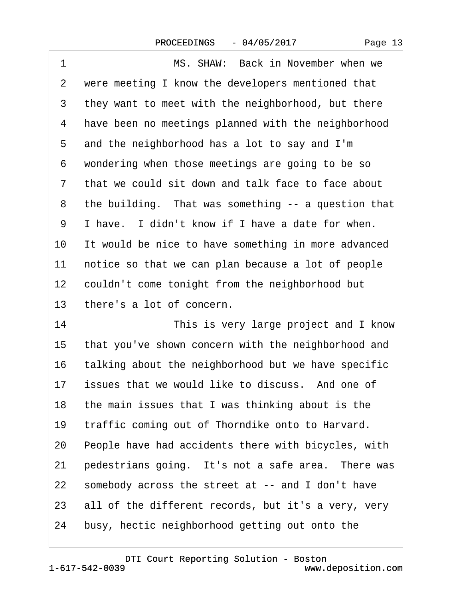| 1               | MS. SHAW: Back in November when we                  |
|-----------------|-----------------------------------------------------|
| 2               | were meeting I know the developers mentioned that   |
| 3               | they want to meet with the neighborhood, but there  |
| 4               | have been no meetings planned with the neighborhood |
| 5               | and the neighborhood has a lot to say and I'm       |
| 6               | wondering when those meetings are going to be so    |
| 7               | that we could sit down and talk face to face about  |
| 8               | the building. That was something -- a question that |
| 9               | I have. I didn't know if I have a date for when.    |
| 10              | It would be nice to have something in more advanced |
| 11              | notice so that we can plan because a lot of people  |
| 12 <sub>2</sub> | couldn't come tonight from the neighborhood but     |
| 13              | there's a lot of concern.                           |
| 14              | This is very large project and I know               |
| 15              | that you've shown concern with the neighborhood and |
| 16              | talking about the neighborhood but we have specific |
| 17              | issues that we would like to discuss. And one of    |
| 18              | the main issues that I was thinking about is the    |
| 19              | traffic coming out of Thorndike onto to Harvard.    |
| 20              | People have had accidents there with bicycles, with |
| 21              | pedestrians going. It's not a safe area. There was  |
| 22              | somebody across the street at -- and I don't have   |
| 23              | all of the different records, but it's a very, very |
| 24              | busy, hectic neighborhood getting out onto the      |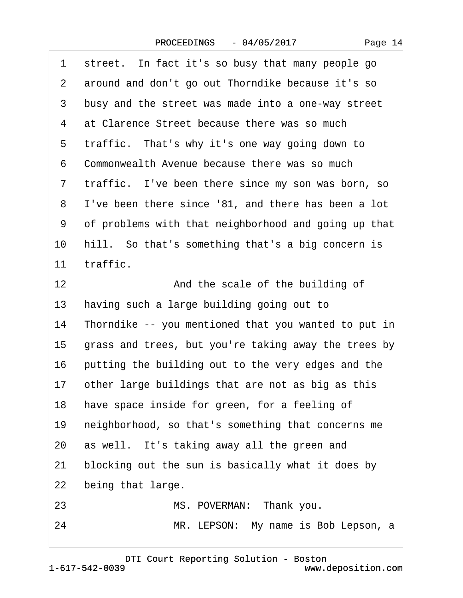| 1              | street. In fact it's so busy that many people go     |
|----------------|------------------------------------------------------|
| $\overline{2}$ | around and don't go out Thorndike because it's so    |
| 3              | busy and the street was made into a one-way street   |
| 4              | at Clarence Street because there was so much         |
| 5              | traffic. That's why it's one way going down to       |
| 6              | Commonwealth Avenue because there was so much        |
| $\overline{7}$ | traffic. I've been there since my son was born, so   |
| 8              | I've been there since '81, and there has been a lot  |
| 9              | of problems with that neighborhood and going up that |
| 10             | hill. So that's something that's a big concern is    |
| 11             | traffic.                                             |
| 12             | And the scale of the building of                     |
| 13             | having such a large building going out to            |
| 14             | Thorndike -- you mentioned that you wanted to put in |
| 15             | grass and trees, but you're taking away the trees by |
| 16             | putting the building out to the very edges and the   |
| 17             | other large buildings that are not as big as this    |
|                | 18 have space inside for green, for a feeling of     |
| 19             | neighborhood, so that's something that concerns me   |
| 20             | as well. It's taking away all the green and          |
| 21             | blocking out the sun is basically what it does by    |
| 22             | being that large.                                    |
| 23             | MS. POVERMAN: Thank you.                             |
| 24             | MR. LEPSON: My name is Bob Lepson, a                 |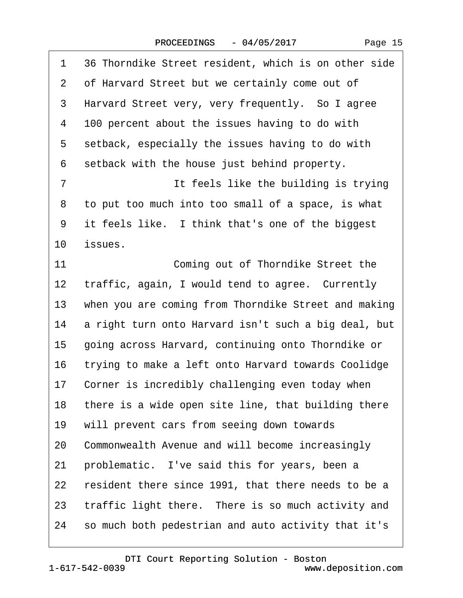|  | Page 15 |  |
|--|---------|--|
|--|---------|--|

| 1               | 36 Thorndike Street resident, which is on other side |
|-----------------|------------------------------------------------------|
| 2               | of Harvard Street but we certainly come out of       |
| 3               | Harvard Street very, very frequently. So I agree     |
| 4               | 100 percent about the issues having to do with       |
| 5               | setback, especially the issues having to do with     |
| 6               | setback with the house just behind property.         |
| $\overline{7}$  | It feels like the building is trying                 |
| 8               | to put too much into too small of a space, is what   |
| 9               | it feels like. I think that's one of the biggest     |
| 10              | issues.                                              |
| 11              | Coming out of Thorndike Street the                   |
| 12              | traffic, again, I would tend to agree. Currently     |
| 13 <sup>°</sup> | when you are coming from Thorndike Street and making |
| 14              | a right turn onto Harvard isn't such a big deal, but |
| 15              | going across Harvard, continuing onto Thorndike or   |
| 16              | trying to make a left onto Harvard towards Coolidge  |
| 17              | Corner is incredibly challenging even today when     |
| 18              | there is a wide open site line, that building there  |
| 19              | will prevent cars from seeing down towards           |
| 20              | Commonwealth Avenue and will become increasingly     |
| 21              | problematic. I've said this for years, been a        |
| 22              | resident there since 1991, that there needs to be a  |
| 23              | traffic light there. There is so much activity and   |
| 24              | so much both pedestrian and auto activity that it's  |
|                 |                                                      |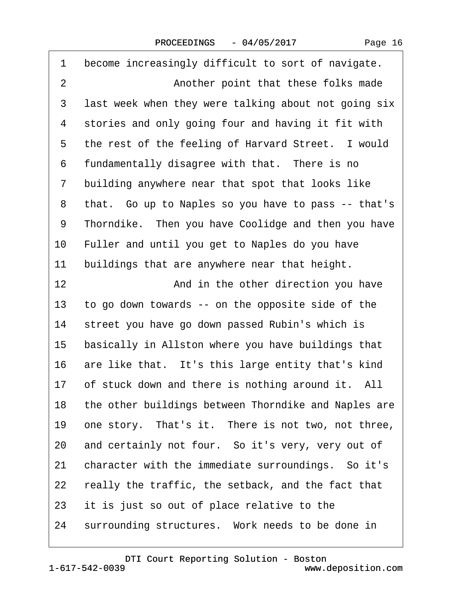| Page 16 |  |
|---------|--|
|---------|--|

| 1              | become increasingly difficult to sort of navigate.   |
|----------------|------------------------------------------------------|
| $\overline{2}$ | Another point that these folks made                  |
| 3              | last week when they were talking about not going six |
| 4              | stories and only going four and having it fit with   |
| 5              | the rest of the feeling of Harvard Street. I would   |
| 6              | fundamentally disagree with that. There is no        |
| 7              | building anywhere near that spot that looks like     |
| 8              | that. Go up to Naples so you have to pass -- that's  |
| 9              | Thorndike. Then you have Coolidge and then you have  |
| 10             | Fuller and until you get to Naples do you have       |
| 11             | buildings that are anywhere near that height.        |
| 12             | And in the other direction you have                  |
| 13             | to go down towards -- on the opposite side of the    |
| 14             | street you have go down passed Rubin's which is      |
| 15             | basically in Allston where you have buildings that   |
| 16             | are like that. It's this large entity that's kind    |
|                | 17 of stuck down and there is nothing around it. All |
| 18             | the other buildings between Thorndike and Naples are |
| 19             | one story. That's it. There is not two, not three,   |
| 20             | and certainly not four. So it's very, very out of    |
| 21             | character with the immediate surroundings. So it's   |
| 22             | really the traffic, the setback, and the fact that   |
| 23             | it is just so out of place relative to the           |
| 24             | surrounding structures. Work needs to be done in     |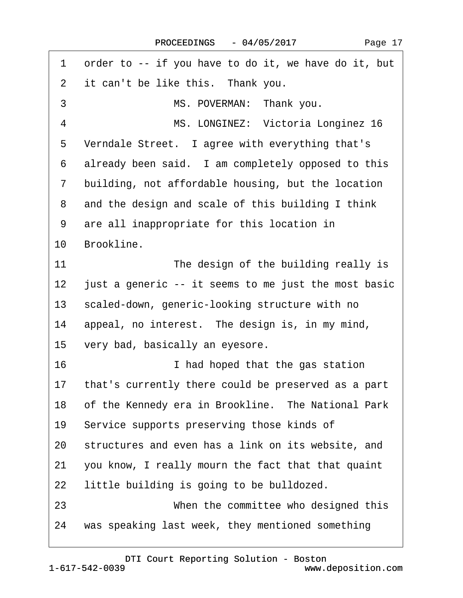| 1                         | order to -- if you have to do it, we have do it, but |
|---------------------------|------------------------------------------------------|
| $\mathbf{2}^{\mathsf{I}}$ | it can't be like this. Thank you.                    |
| 3                         | MS. POVERMAN: Thank you.                             |
| $\overline{4}$            | MS. LONGINEZ: Victoria Longinez 16                   |
| 5                         | Verndale Street. I agree with everything that's      |
| 6                         | already been said. I am completely opposed to this   |
| $\mathbf{7}$              | building, not affordable housing, but the location   |
| 8                         | and the design and scale of this building I think    |
| 9                         | are all inappropriate for this location in           |
| 10 <sup>1</sup>           | Brookline.                                           |
| 11                        | The design of the building really is                 |
| $12 \,$                   | just a generic -- it seems to me just the most basic |
| 13                        | scaled-down, generic-looking structure with no       |
| 14                        | appeal, no interest. The design is, in my mind,      |
| 15                        | very bad, basically an eyesore.                      |
| 16                        | I had hoped that the gas station                     |
| 17                        | that's currently there could be preserved as a part  |
| 18                        | of the Kennedy era in Brookline. The National Park   |
| 19                        | Service supports preserving those kinds of           |
| 20                        | structures and even has a link on its website, and   |
| 21                        | you know, I really mourn the fact that that quaint   |
| 22                        | little building is going to be bulldozed.            |
| 23                        | When the committee who designed this                 |
| 24                        | was speaking last week, they mentioned something     |

 $\Gamma$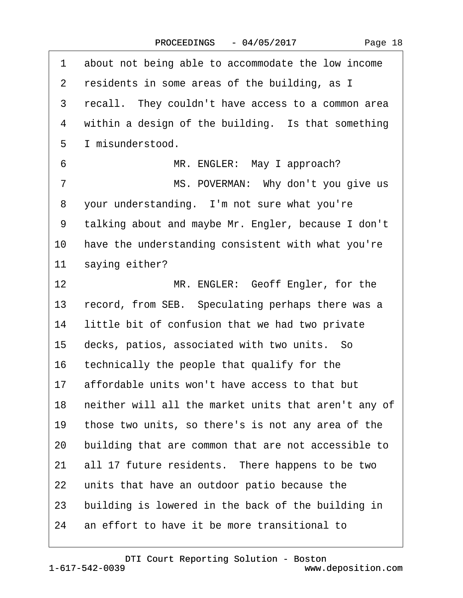| 1  | about not being able to accommodate the low income   |
|----|------------------------------------------------------|
| 2  | residents in some areas of the building, as I        |
| 3  | recall. They couldn't have access to a common area   |
| 4  | within a design of the building. Is that something   |
| 5  | I misunderstood.                                     |
| 6  | MR. ENGLER: May I approach?                          |
| 7  | MS. POVERMAN: Why don't you give us                  |
| 8  | your understanding. I'm not sure what you're         |
| 9  | talking about and maybe Mr. Engler, because I don't  |
| 10 | have the understanding consistent with what you're   |
| 11 | saying either?                                       |
| 12 | MR. ENGLER: Geoff Engler, for the                    |
| 13 | record, from SEB. Speculating perhaps there was a    |
| 14 | little bit of confusion that we had two private      |
| 15 | decks, patios, associated with two units. So         |
| 16 | technically the people that qualify for the          |
| 17 | affordable units won't have access to that but       |
| 18 | neither will all the market units that aren't any of |
| 19 | those two units, so there's is not any area of the   |
| 20 | building that are common that are not accessible to  |
| 21 | all 17 future residents. There happens to be two     |
| 22 | units that have an outdoor patio because the         |
| 23 | building is lowered in the back of the building in   |
| 24 | an effort to have it be more transitional to         |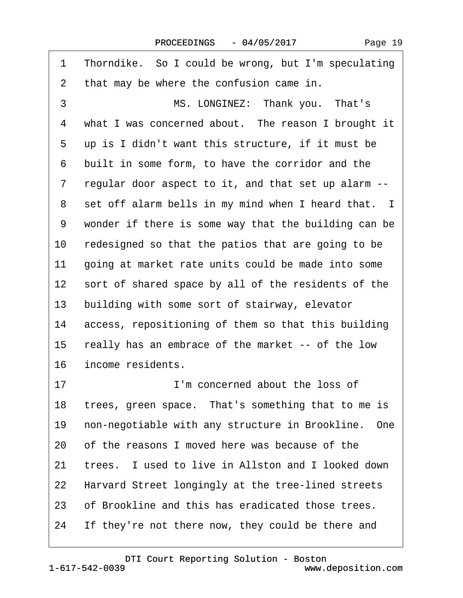| 1  | Thorndike. So I could be wrong, but I'm speculating  |
|----|------------------------------------------------------|
| 2  | that may be where the confusion came in.             |
| 3  | MS. LONGINEZ: Thank you. That's                      |
| 4  | what I was concerned about. The reason I brought it  |
| 5  | up is I didn't want this structure, if it must be    |
| 6  | built in some form, to have the corridor and the     |
| 7  | regular door aspect to it, and that set up alarm --  |
| 8  | set off alarm bells in my mind when I heard that. I  |
| 9  | wonder if there is some way that the building can be |
| 10 | redesigned so that the patios that are going to be   |
| 11 | going at market rate units could be made into some   |
| 12 | sort of shared space by all of the residents of the  |
| 13 | building with some sort of stairway, elevator        |
| 14 | access, repositioning of them so that this building  |
| 15 | really has an embrace of the market -- of the low    |
| 16 | income residents.                                    |
| 17 | I'm concerned about the loss of                      |
| 18 | trees, green space. That's something that to me is   |
| 19 | non-negotiable with any structure in Brookline. One  |
| 20 | of the reasons I moved here was because of the       |
| 21 | trees. I used to live in Allston and I looked down   |
| 22 | Harvard Street longingly at the tree-lined streets   |
| 23 | of Brookline and this has eradicated those trees.    |
| 24 | If they're not there now, they could be there and    |
|    |                                                      |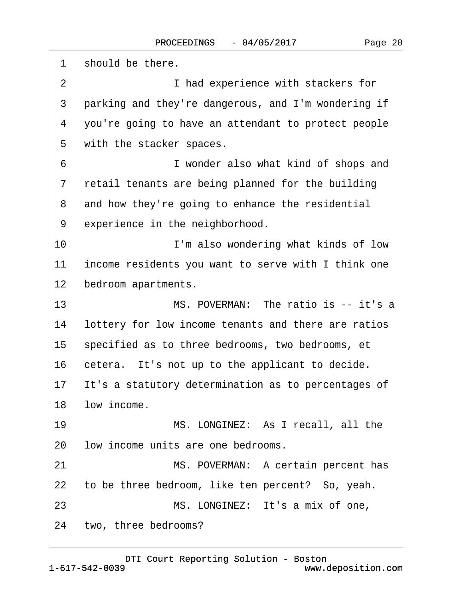1 should be there. 2 **I** had experience with stackers for 3 parking and they're dangerous, and I'm wondering if ·4· ·you're going to have an attendant to protect people 5 with the stacker spaces. 6 **I** wonder also what kind of shops and 7 retail tenants are being planned for the building 8 and how they're going to enhance the residential 9 experience in the neighborhood. 10 **I'm also wondering what kinds of low** 11 income residents you want to serve with I think one 12 bedroom apartments. 13 MS. POVERMAN: The ratio is -- it's a 14 lottery for low income tenants and there are ratios 15 specified as to three bedrooms, two bedrooms, et 16 cetera. It's not up to the applicant to decide. 17 It's a statutory determination as to percentages of 18 low income. 19 MS. LONGINEZ: As I recall, all the 20 low income units are one bedrooms. 21 MS. POVERMAN: A certain percent has 22 to be three bedroom, like ten percent? So, yeah. 23 MS. LONGINEZ: It's a mix of one, 24 two, three bedrooms?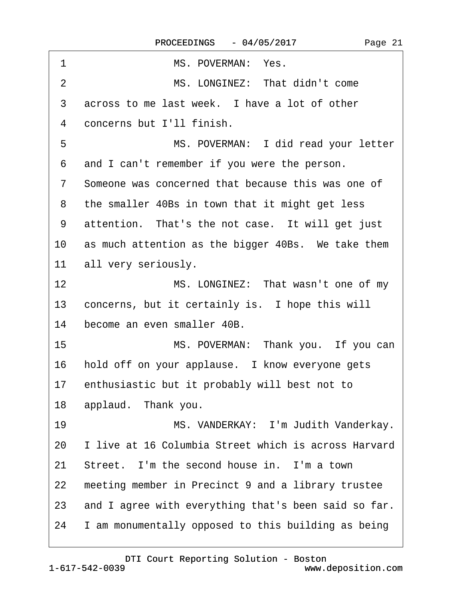| 1  | MS. POVERMAN: Yes.                                    |
|----|-------------------------------------------------------|
| 2  | MS. LONGINEZ: That didn't come                        |
| 3  | across to me last week. I have a lot of other         |
| 4  | concerns but I'll finish.                             |
| 5  | MS. POVERMAN: I did read your letter                  |
| 6  | and I can't remember if you were the person.          |
| 7  | Someone was concerned that because this was one of    |
| 8  | the smaller 40Bs in town that it might get less       |
| 9  | attention. That's the not case. It will get just      |
|    | 10 as much attention as the bigger 40Bs. We take them |
|    | 11 all very seriously.                                |
| 12 | MS. LONGINEZ: That wasn't one of my                   |
| 13 | concerns, but it certainly is. I hope this will       |
| 14 | become an even smaller 40B.                           |
| 15 | MS. POVERMAN: Thank you. If you can                   |
| 16 | hold off on your applause. I know everyone gets       |
|    | 17 enthusiastic but it probably will best not to      |
| 18 | applaud. Thank you.                                   |
| 19 | MS. VANDERKAY: I'm Judith Vanderkay.                  |
| 20 | I live at 16 Columbia Street which is across Harvard  |
| 21 | Street. I'm the second house in. I'm a town           |
| 22 | meeting member in Precinct 9 and a library trustee    |
| 23 | and I agree with everything that's been said so far.  |
| 24 | I am monumentally opposed to this building as being   |
|    |                                                       |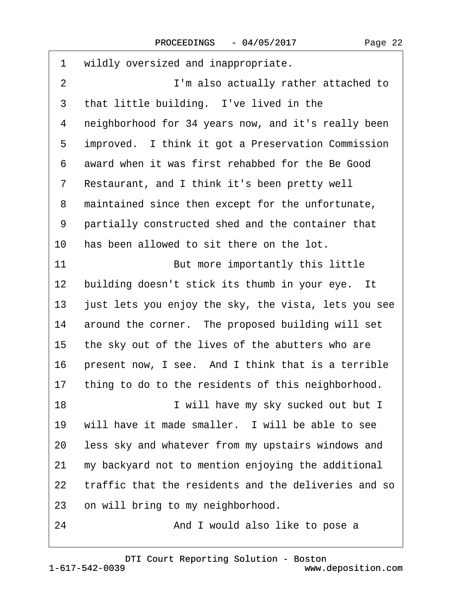| 1               | wildly oversized and inappropriate.                  |
|-----------------|------------------------------------------------------|
| $\overline{2}$  | I'm also actually rather attached to                 |
| 3               | that little building. I've lived in the              |
| 4               | neighborhood for 34 years now, and it's really been  |
| 5               | improved. I think it got a Preservation Commission   |
| 6               | award when it was first rehabbed for the Be Good     |
| 7               | Restaurant, and I think it's been pretty well        |
| 8               | maintained since then except for the unfortunate,    |
| 9               | partially constructed shed and the container that    |
| 10              | has been allowed to sit there on the lot.            |
| 11              | But more importantly this little                     |
| 12              | building doesn't stick its thumb in your eye. It     |
| 13 <sup>°</sup> | just lets you enjoy the sky, the vista, lets you see |
| 14              | around the corner. The proposed building will set    |
| 15              | the sky out of the lives of the abutters who are     |
| 16              | present now, I see. And I think that is a terrible   |
| 17              | thing to do to the residents of this neighborhood.   |
| 18              | I will have my sky sucked out but I                  |
| 19              | will have it made smaller. I will be able to see     |
| 20              | less sky and whatever from my upstairs windows and   |
| 21              | my backyard not to mention enjoying the additional   |
| 22              | traffic that the residents and the deliveries and so |
| 23              | on will bring to my neighborhood.                    |
| 24              | And I would also like to pose a                      |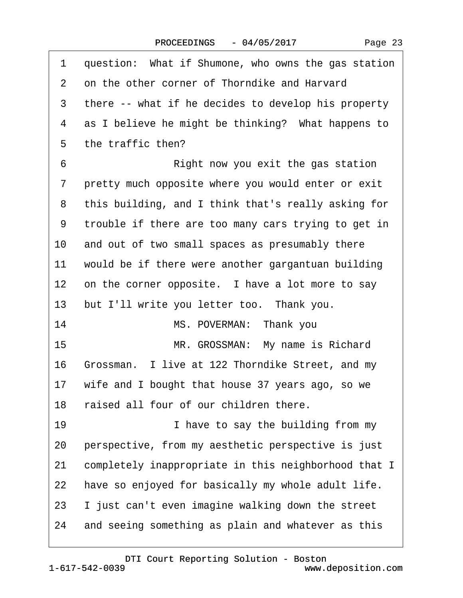| 1               | question: What if Shumone, who owns the gas station  |
|-----------------|------------------------------------------------------|
| 2               | on the other corner of Thorndike and Harvard         |
| 3               | there -- what if he decides to develop his property  |
| 4               | as I believe he might be thinking? What happens to   |
| 5               | the traffic then?                                    |
| 6               | Right now you exit the gas station                   |
| 7               | pretty much opposite where you would enter or exit   |
| 8               | this building, and I think that's really asking for  |
| 9               | trouble if there are too many cars trying to get in  |
| 10              | and out of two small spaces as presumably there      |
| 11              | would be if there were another gargantuan building   |
| 12 <sup>1</sup> | on the corner opposite. I have a lot more to say     |
| 13              | but I'll write you letter too. Thank you.            |
| 14              | MS. POVERMAN: Thank you                              |
| 15              | MR. GROSSMAN: My name is Richard                     |
| 16              | Grossman. I live at 122 Thorndike Street, and my     |
|                 | 17 wife and I bought that house 37 years ago, so we  |
| 18              | raised all four of our children there.               |
| 19              | I have to say the building from my                   |
| 20              | perspective, from my aesthetic perspective is just   |
| 21              | completely inappropriate in this neighborhood that I |
| 22              | have so enjoyed for basically my whole adult life.   |
| 23              | I just can't even imagine walking down the street    |
| 24              | and seeing something as plain and whatever as this   |
|                 |                                                      |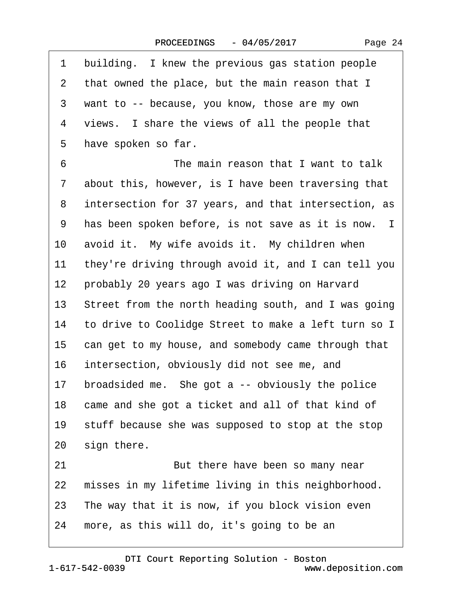| 1               | building. I knew the previous gas station people     |
|-----------------|------------------------------------------------------|
| 2               | that owned the place, but the main reason that I     |
| 3               | want to -- because, you know, those are my own       |
| 4               | views. I share the views of all the people that      |
| 5               | have spoken so far.                                  |
| 6               | The main reason that I want to talk                  |
| 7               | about this, however, is I have been traversing that  |
| 8               | intersection for 37 years, and that intersection, as |
| 9               | has been spoken before, is not save as it is now. I  |
| 10              | avoid it. My wife avoids it. My children when        |
| 11              | they're driving through avoid it, and I can tell you |
| $12 \,$         | probably 20 years ago I was driving on Harvard       |
| 13 <sup>°</sup> | Street from the north heading south, and I was going |
| 14              | to drive to Coolidge Street to make a left turn so I |
| 15              | can get to my house, and somebody came through that  |
| 16              | intersection, obviously did not see me, and          |
| 17              | broadsided me. She got a -- obviously the police     |
| 18              | came and she got a ticket and all of that kind of    |
| 19              | stuff because she was supposed to stop at the stop   |
| 20              | sign there.                                          |
| 21              | But there have been so many near                     |
| 22              | misses in my lifetime living in this neighborhood.   |
| 23              | The way that it is now, if you block vision even     |
| 24              | more, as this will do, it's going to be an           |
|                 |                                                      |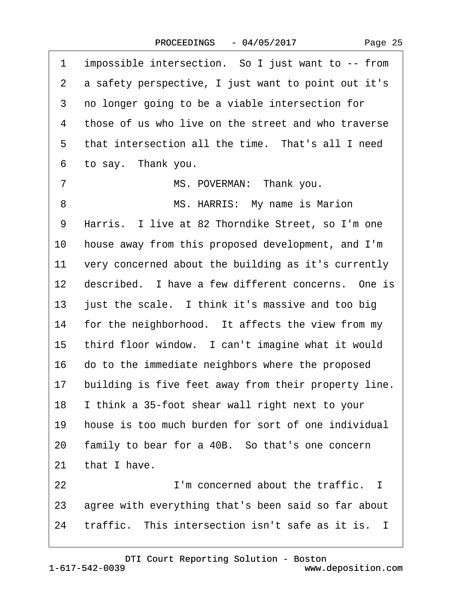| 1               | impossible intersection. So I just want to -- from    |
|-----------------|-------------------------------------------------------|
| $\overline{2}$  | a safety perspective, I just want to point out it's   |
| 3               | no longer going to be a viable intersection for       |
| 4               | those of us who live on the street and who traverse   |
| 5               | that intersection all the time. That's all I need     |
| 6               | to say. Thank you.                                    |
| $\overline{7}$  | MS. POVERMAN: Thank you.                              |
| 8               | MS. HARRIS: My name is Marion                         |
| 9               | Harris. I live at 82 Thorndike Street, so I'm one     |
| 10              | house away from this proposed development, and I'm    |
| 11              | very concerned about the building as it's currently   |
|                 | 12 described. I have a few different concerns. One is |
|                 | 13 just the scale. I think it's massive and too big   |
|                 | 14 for the neighborhood. It affects the view from my  |
| 15 <sup>1</sup> | third floor window. I can't imagine what it would     |
|                 | 16 do to the immediate neighbors where the proposed   |
| 17              | building is five feet away from their property line.  |
| 18              | I think a 35-foot shear wall right next to your       |
| 19              | house is too much burden for sort of one individual   |
| 20              | family to bear for a 40B. So that's one concern       |
| 21              | that I have.                                          |
| 22              | I'm concerned about the traffic. I                    |
| 23              | agree with everything that's been said so far about   |
| 24              | traffic. This intersection isn't safe as it is. I     |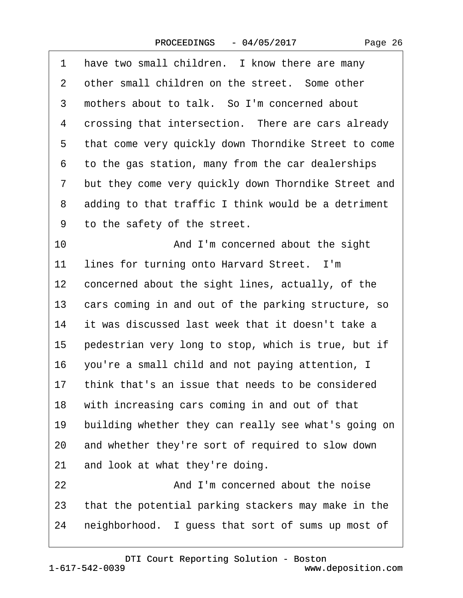| Page 26 |  |
|---------|--|
|---------|--|

| 1               | have two small children. I know there are many       |
|-----------------|------------------------------------------------------|
| 2               | other small children on the street. Some other       |
| 3               | mothers about to talk. So I'm concerned about        |
| 4               | crossing that intersection. There are cars already   |
| 5               | that come very quickly down Thorndike Street to come |
| 6               | to the gas station, many from the car dealerships    |
| 7               | but they come very quickly down Thorndike Street and |
| 8               | adding to that traffic I think would be a detriment  |
| 9               | to the safety of the street.                         |
| 10              | And I'm concerned about the sight                    |
| 11              | lines for turning onto Harvard Street. I'm           |
| 12 <sup>1</sup> | concerned about the sight lines, actually, of the    |
| 13              | cars coming in and out of the parking structure, so  |
| 14              | it was discussed last week that it doesn't take a    |
| 15              | pedestrian very long to stop, which is true, but if  |
| 16              | you're a small child and not paying attention, I     |
| 17              | think that's an issue that needs to be considered    |
| 18              | with increasing cars coming in and out of that       |
| 19              | building whether they can really see what's going on |
| 20              | and whether they're sort of required to slow down    |
| 21              | and look at what they're doing.                      |
| 22              | And I'm concerned about the noise                    |
| 23              | that the potential parking stackers may make in the  |
| 24              | neighborhood. I guess that sort of sums up most of   |
|                 |                                                      |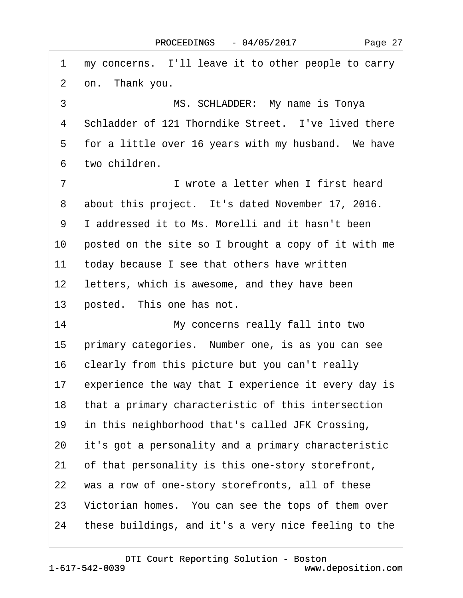| 1               | my concerns. I'll leave it to other people to carry     |
|-----------------|---------------------------------------------------------|
| 2               | on. Thank you.                                          |
| 3               | MS. SCHLADDER: My name is Tonya                         |
| 4               | Schladder of 121 Thorndike Street. I've lived there     |
| 5               | for a little over 16 years with my husband. We have     |
| 6               | two children.                                           |
| 7               | I wrote a letter when I first heard                     |
| 8               | about this project. It's dated November 17, 2016.       |
| 9               | I addressed it to Ms. Morelli and it hasn't been        |
| 10              | posted on the site so I brought a copy of it with me    |
| 11              | today because I see that others have written            |
| 12 <sub>2</sub> | letters, which is awesome, and they have been           |
| 13              | posted. This one has not.                               |
| 14              | My concerns really fall into two                        |
| 15              | primary categories. Number one, is as you can see       |
| 16              | clearly from this picture but you can't really          |
|                 | 17 experience the way that I experience it every day is |
| 18              | that a primary characteristic of this intersection      |
| 19              | in this neighborhood that's called JFK Crossing,        |
| 20              | it's got a personality and a primary characteristic     |
| 21              | of that personality is this one-story storefront,       |
| 22              | was a row of one-story storefronts, all of these        |
| 23              | Victorian homes. You can see the tops of them over      |
| 24              | these buildings, and it's a very nice feeling to the    |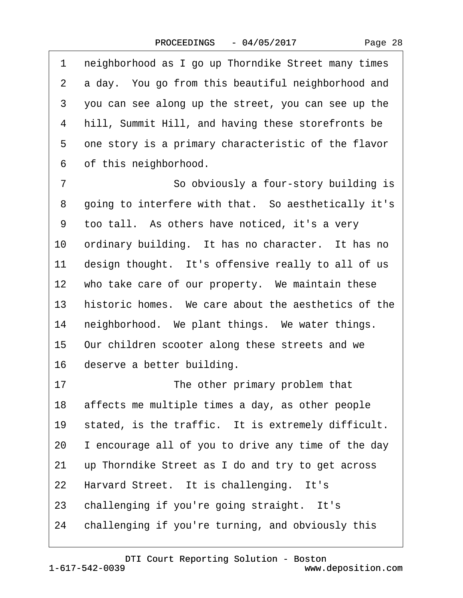Page 28

1 neighborhood as I go up Thorndike Street many times 2 a day. You go from this beautiful neighborhood and ·3· ·you can see along up the street, you can see up the 4 hill, Summit Hill, and having these storefronts be 5 one story is a primary characteristic of the flavor 6 of this neighborhood. 7 **· · · · · · So obviously a four-story building is** 8 going to interfere with that. So aesthetically it's ·9· ·too tall.· As others have noticed, it's a very 10 ordinary building. It has no character. It has no 11 design thought. It's offensive really to all of us 12 who take care of our property. We maintain these 13 historic homes. We care about the aesthetics of the 14 neighborhood. We plant things. We water things. 15 Our children scooter along these streets and we 16 deserve a better building. 17 **• The other primary problem that** 18 affects me multiple times a day, as other people 19 stated, is the traffic. It is extremely difficult. 20 I encourage all of you to drive any time of the day 21 up Thorndike Street as I do and try to get across 22 Harvard Street. It is challenging. It's 23 challenging if you're going straight. It's 24 challenging if you're turning, and obviously this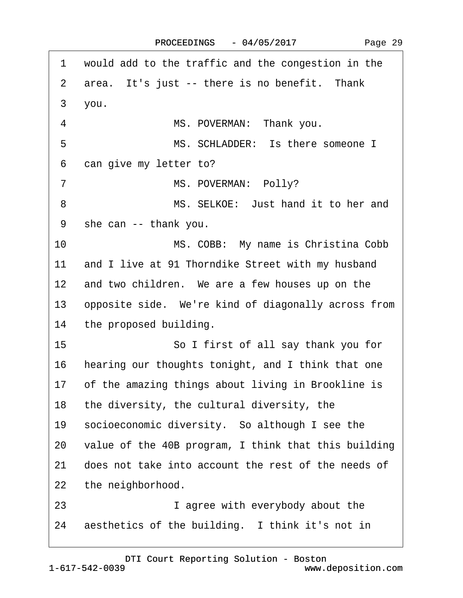| 1               | would add to the traffic and the congestion in the    |
|-----------------|-------------------------------------------------------|
| 2               | area. It's just -- there is no benefit. Thank         |
| 3               | you.                                                  |
| $\overline{4}$  | MS. POVERMAN: Thank you.                              |
| 5               | MS. SCHLADDER: Is there someone I                     |
| 6               | can give my letter to?                                |
| 7               | MS. POVERMAN: Polly?                                  |
| 8               | MS. SELKOE: Just hand it to her and                   |
| 9               | she can -- thank you.                                 |
| 10              | MS. COBB: My name is Christina Cobb                   |
| 11              | and I live at 91 Thorndike Street with my husband     |
| 12 <sup>1</sup> | and two children. We are a few houses up on the       |
| 13              | opposite side. We're kind of diagonally across from   |
| 14              | the proposed building.                                |
| 15              | So I first of all say thank you for                   |
| 16              | hearing our thoughts tonight, and I think that one    |
|                 | 17 of the amazing things about living in Brookline is |
| 18              | the diversity, the cultural diversity, the            |
| 19              | socioeconomic diversity. So although I see the        |
| 20              | value of the 40B program, I think that this building  |
| 21              | does not take into account the rest of the needs of   |
| 22              | the neighborhood.                                     |
| 23              | I agree with everybody about the                      |
| 24              | aesthetics of the building. I think it's not in       |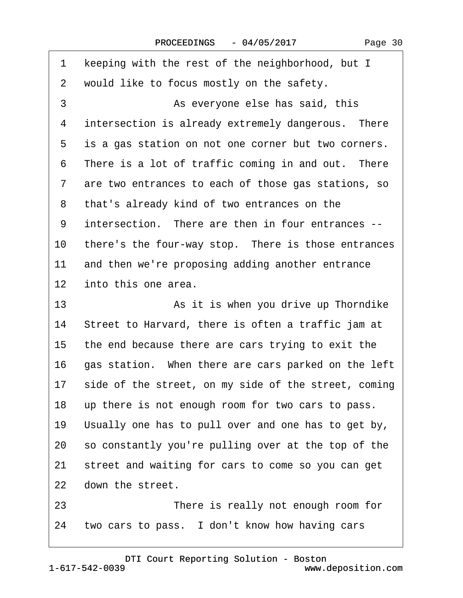| 1               | keeping with the rest of the neighborhood, but I        |
|-----------------|---------------------------------------------------------|
| 2               | would like to focus mostly on the safety.               |
| 3               | As everyone else has said, this                         |
| 4               | intersection is already extremely dangerous. There      |
| 5               | is a gas station on not one corner but two corners.     |
| 6               | There is a lot of traffic coming in and out. There      |
| 7               | are two entrances to each of those gas stations, so     |
| 8               | that's already kind of two entrances on the             |
| 9               | intersection. There are then in four entrances --       |
| 10              | there's the four-way stop. There is those entrances     |
| 11              | and then we're proposing adding another entrance        |
| 12 <sub>2</sub> | into this one area.                                     |
| 13              | As it is when you drive up Thorndike                    |
| 14              | Street to Harvard, there is often a traffic jam at      |
| 15              | the end because there are cars trying to exit the       |
| 16              | gas station. When there are cars parked on the left     |
|                 | 17 side of the street, on my side of the street, coming |
| 18              | up there is not enough room for two cars to pass.       |
| 19              | Usually one has to pull over and one has to get by,     |
| 20              | so constantly you're pulling over at the top of the     |
| 21              | street and waiting for cars to come so you can get      |
| 22              | down the street.                                        |
| 23              | There is really not enough room for                     |
|                 |                                                         |

24 two cars to pass. I don't know how having cars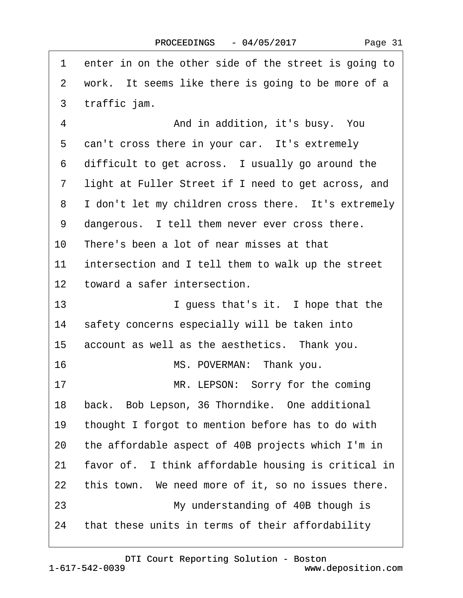1 enter in on the other side of the street is going to 2 work. It seems like there is going to be more of a 3 traffic jam. ·4· · · · · · · · · And in addition, it's busy.· You 5 can't cross there in your car. It's extremely 6 difficult to get across. I usually go around the 7 light at Fuller Street if I need to get across, and 8 I don't let my children cross there. It's extremely 9 dangerous. I tell them never ever cross there. 10 There's been a lot of near misses at that 11 intersection and I tell them to walk up the street 12 toward a safer intersection. 13 **I guess that's it.** I hope that the 14 safety concerns especially will be taken into 15 account as well as the aesthetics. Thank you. 16 **· · · · · MS. POVERMAN: Thank you.** 17 MR. LEPSON: Sorry for the coming 18 back. Bob Lepson, 36 Thorndike. One additional 19 thought I forgot to mention before has to do with 20 the affordable aspect of 40B projects which I'm in 21 favor of. I think affordable housing is critical in 22 this town. We need more of it, so no issues there. 23 My understanding of 40B though is 24 that these units in terms of their affordability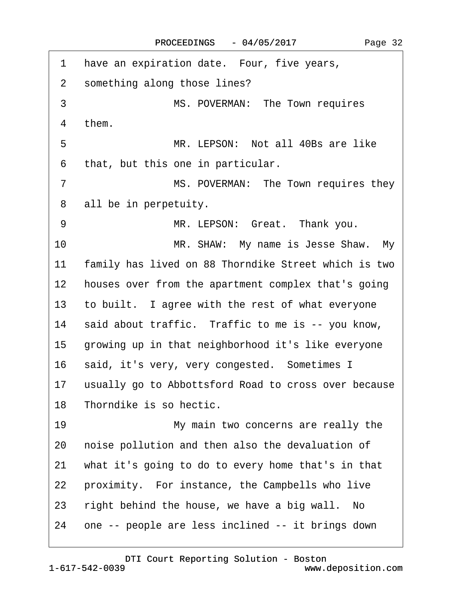| 1               | have an expiration date. Four, five years,           |
|-----------------|------------------------------------------------------|
| $\mathbf{2}$    | something along those lines?                         |
| 3               | MS. POVERMAN: The Town requires                      |
| 4               | them.                                                |
|                 |                                                      |
| 5               | MR. LEPSON: Not all 40Bs are like                    |
| 6               | that, but this one in particular.                    |
| $\overline{7}$  | MS. POVERMAN: The Town requires they                 |
| 8               | all be in perpetuity.                                |
| 9               | MR. LEPSON: Great. Thank you.                        |
| 10              | MR. SHAW: My name is Jesse Shaw. My                  |
| 11              | family has lived on 88 Thorndike Street which is two |
| 12 <sub>2</sub> | houses over from the apartment complex that's going  |
| 13              | to built. I agree with the rest of what everyone     |
| 14              | said about traffic. Traffic to me is -- you know,    |
| 15              | growing up in that neighborhood it's like everyone   |
| 16              | said, it's very, very congested. Sometimes I         |
| 17              | usually go to Abbottsford Road to cross over because |
| 18              | Thorndike is so hectic.                              |
| 19              | My main two concerns are really the                  |
| 20              | noise pollution and then also the devaluation of     |
| 21              | what it's going to do to every home that's in that   |
| 22              | proximity. For instance, the Campbells who live      |
| 23              | right behind the house, we have a big wall. No       |
| 24              | one -- people are less inclined -- it brings down    |
|                 |                                                      |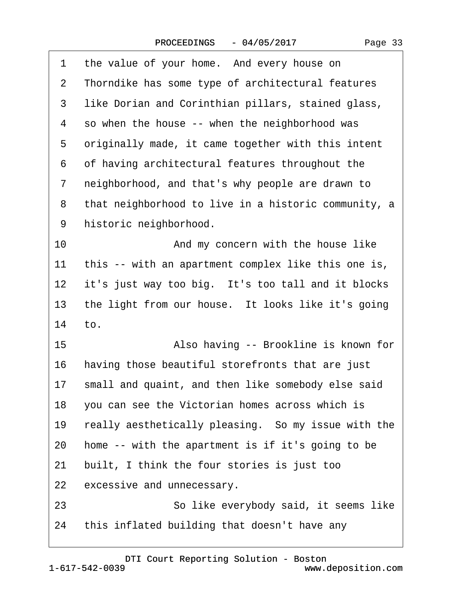| 1  | the value of your home. And every house on           |
|----|------------------------------------------------------|
| 2  | Thorndike has some type of architectural features    |
| 3  | like Dorian and Corinthian pillars, stained glass,   |
| 4  | so when the house -- when the neighborhood was       |
| 5  | originally made, it came together with this intent   |
| 6  | of having architectural features throughout the      |
| 7  | neighborhood, and that's why people are drawn to     |
| 8  | that neighborhood to live in a historic community, a |
| 9  | historic neighborhood.                               |
| 10 | And my concern with the house like                   |
| 11 | this -- with an apartment complex like this one is,  |
| 12 | it's just way too big. It's too tall and it blocks   |
| 13 | the light from our house. It looks like it's going   |
| 14 | to.                                                  |
| 15 | Also having -- Brookline is known for                |
| 16 | having those beautiful storefronts that are just     |
| 17 | small and quaint, and then like somebody else said   |
| 18 | you can see the Victorian homes across which is      |
| 19 | really aesthetically pleasing. So my issue with the  |
| 20 | home -- with the apartment is if it's going to be    |
| 21 | built, I think the four stories is just too          |
| 22 | excessive and unnecessary.                           |
| 23 | So like everybody said, it seems like                |
| 24 | this inflated building that doesn't have any         |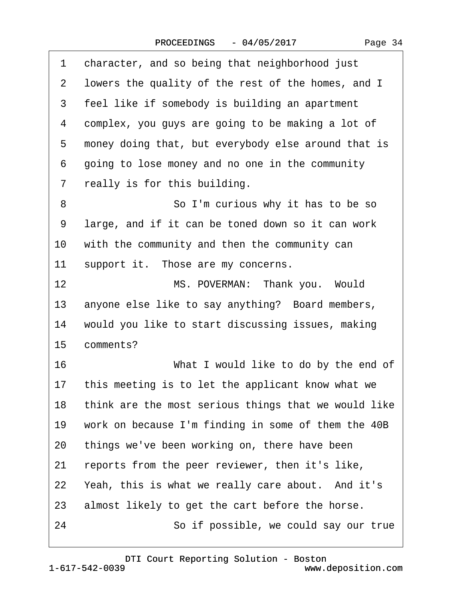|     | 3 feel like if somebody is building an apartment      |
|-----|-------------------------------------------------------|
|     | 4 complex, you guys are going to be making a lot of   |
|     | 5 money doing that, but everybody else around that is |
|     | 6 going to lose money and no one in the community     |
|     | 7 really is for this building.                        |
| 8   | So I'm curious why it has to be so                    |
| 9   | large, and if it can be toned down so it can work     |
|     | 10 with the community and then the community can      |
| 11  | support it. Those are my concerns.                    |
| 12. | MS POVERMAN: Thank you Would                          |

12 MS. POVERMAN: Thank you. Would 13 anyone else like to say anything? Board members, 14 would you like to start discussing issues, making 15 comments?

1 character, and so being that neighborhood just

2 lowers the quality of the rest of the homes, and I

- 16 **What I would like to do by the end of**
- 17 this meeting is to let the applicant know what we
- 18 think are the most serious things that we would like
- 19 work on because I'm finding in some of them the 40B
- 20 things we've been working on, there have been
- 21 reports from the peer reviewer, then it's like,
- 22 Yeah, this is what we really care about. And it's
- 23 almost likely to get the cart before the horse.
- 24 · · · · · So if possible, we could say our true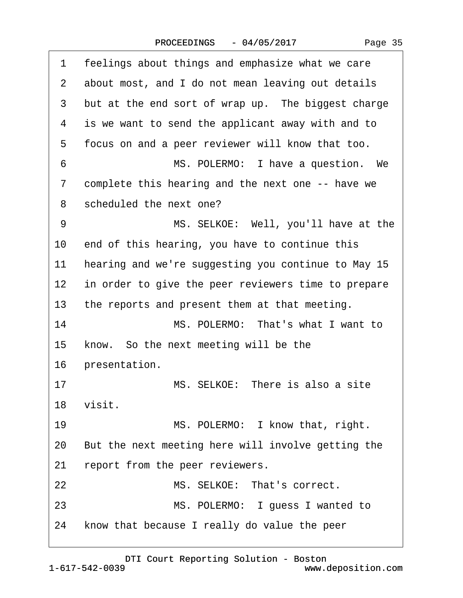|  | Page 35 |
|--|---------|
|--|---------|

| 1              | feelings about things and emphasize what we care    |
|----------------|-----------------------------------------------------|
| $\overline{2}$ | about most, and I do not mean leaving out details   |
| 3              | but at the end sort of wrap up. The biggest charge  |
| 4              | is we want to send the applicant away with and to   |
| 5              | focus on and a peer reviewer will know that too.    |
| 6              | MS. POLERMO: I have a question. We                  |
| 7              | complete this hearing and the next one -- have we   |
| 8              | scheduled the next one?                             |
| 9              | MS. SELKOE: Well, you'll have at the                |
| 10             | end of this hearing, you have to continue this      |
| 11             | hearing and we're suggesting you continue to May 15 |
| 12             | in order to give the peer reviewers time to prepare |
| 13             | the reports and present them at that meeting.       |
| 14             | MS. POLERMO: That's what I want to                  |
| 15             | know. So the next meeting will be the               |
| 16             | presentation.                                       |
| 17             | MS. SELKOE: There is also a site                    |
|                | 18 visit.                                           |
| 19             | MS. POLERMO: I know that, right.                    |
| 20             | But the next meeting here will involve getting the  |
| 21             | report from the peer reviewers.                     |
| 22             | MS. SELKOE: That's correct.                         |
| 23             | MS. POLERMO: I guess I wanted to                    |
| 24             | know that because I really do value the peer        |
|                |                                                     |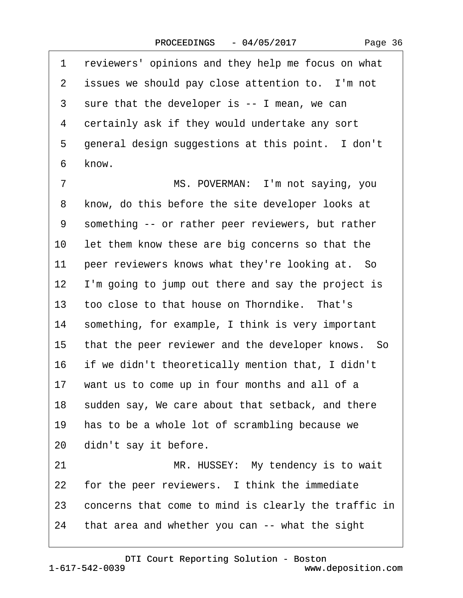| 1              | reviewers' opinions and they help me focus on what   |
|----------------|------------------------------------------------------|
| $\overline{2}$ | issues we should pay close attention to. I'm not     |
| 3              | sure that the developer is -- I mean, we can         |
| 4              | certainly ask if they would undertake any sort       |
| 5              | general design suggestions at this point. I don't    |
| 6              | know.                                                |
| $\overline{7}$ | MS. POVERMAN: I'm not saying, you                    |
| 8              | know, do this before the site developer looks at     |
| 9              | something -- or rather peer reviewers, but rather    |
| 10             | let them know these are big concerns so that the     |
| 11             | peer reviewers knows what they're looking at. So     |
| 12             | I'm going to jump out there and say the project is   |
| 13             | too close to that house on Thorndike. That's         |
| 14             | something, for example, I think is very important    |
| 15             | that the peer reviewer and the developer knows. So   |
| 16             | if we didn't theoretically mention that, I didn't    |
| 17             | want us to come up in four months and all of a       |
| 18             | sudden say, We care about that setback, and there    |
| 19             | has to be a whole lot of scrambling because we       |
| 20             | didn't say it before.                                |
| 21             | MR. HUSSEY: My tendency is to wait                   |
| <u>22</u>      | for the peer reviewers. I think the immediate        |
| 23             | concerns that come to mind is clearly the traffic in |
| 24             | that area and whether you can -- what the sight      |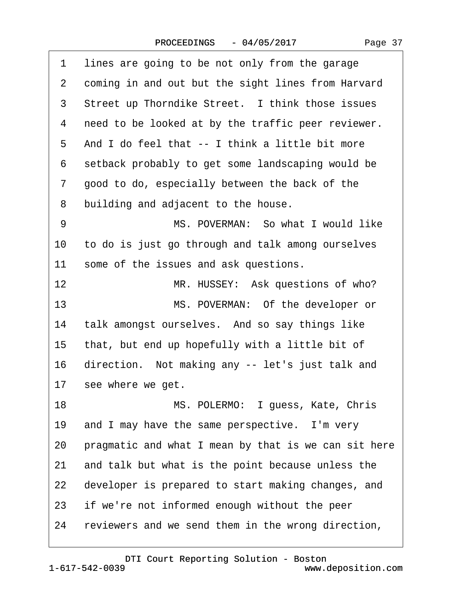<span id="page-36-0"></span>

| 1  | lines are going to be not only from the garage       |
|----|------------------------------------------------------|
| 2  | coming in and out but the sight lines from Harvard   |
| 3  | Street up Thorndike Street. I think those issues     |
| 4  | need to be looked at by the traffic peer reviewer.   |
| 5  | And I do feel that -- I think a little bit more      |
| 6  | setback probably to get some landscaping would be    |
| 7  | good to do, especially between the back of the       |
| 8  | building and adjacent to the house.                  |
| 9  | MS. POVERMAN: So what I would like                   |
| 10 | to do is just go through and talk among ourselves    |
| 11 | some of the issues and ask questions.                |
| 12 | MR. HUSSEY: Ask questions of who?                    |
| 13 | MS. POVERMAN: Of the developer or                    |
| 14 | talk amongst ourselves. And so say things like       |
| 15 | that, but end up hopefully with a little bit of      |
| 16 | direction. Not making any -- let's just talk and     |
| 17 | see where we get.                                    |
| 18 | MS. POLERMO: I guess, Kate, Chris                    |
| 19 | and I may have the same perspective. I'm very        |
| 20 | pragmatic and what I mean by that is we can sit here |
| 21 | and talk but what is the point because unless the    |
| 22 | developer is prepared to start making changes, and   |
| 23 | if we're not informed enough without the peer        |
| 24 | reviewers and we send them in the wrong direction,   |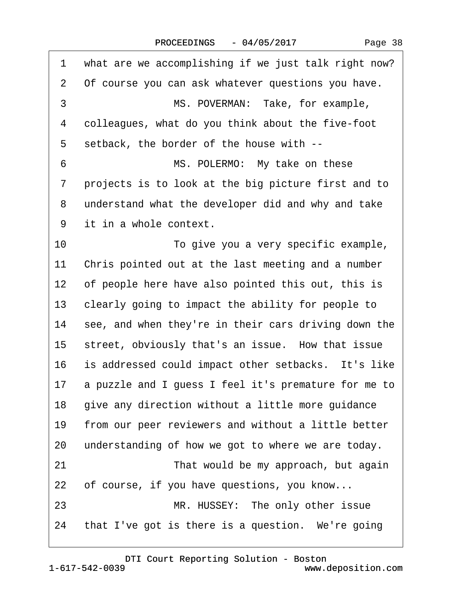|  | Page 38 |
|--|---------|
|--|---------|

<span id="page-37-0"></span>

| 1              | what are we accomplishing if we just talk right now? |
|----------------|------------------------------------------------------|
| $\overline{2}$ | Of course you can ask whatever questions you have.   |
| 3              | MS. POVERMAN: Take, for example,                     |
| 4              | colleagues, what do you think about the five-foot    |
| 5              | setback, the border of the house with --             |
| 6              | MS. POLERMO: My take on these                        |
| 7              | projects is to look at the big picture first and to  |
| 8              | understand what the developer did and why and take   |
| 9              | it in a whole context.                               |
| 10             | To give you a very specific example,                 |
| 11             | Chris pointed out at the last meeting and a number   |
| $12 \,$        | of people here have also pointed this out, this is   |
| 13             | clearly going to impact the ability for people to    |
| 14             | see, and when they're in their cars driving down the |
| 15             | street, obviously that's an issue. How that issue    |
| 16             | is addressed could impact other setbacks. It's like  |
| 17             | a puzzle and I guess I feel it's premature for me to |
| 18             | give any direction without a little more guidance    |
| 19             | from our peer reviewers and without a little better  |
| 20             | understanding of how we got to where we are today.   |
| 21             | That would be my approach, but again                 |
| 22             | of course, if you have questions, you know           |
| 23             | MR. HUSSEY: The only other issue                     |
| 24             | that I've got is there is a question. We're going    |
|                |                                                      |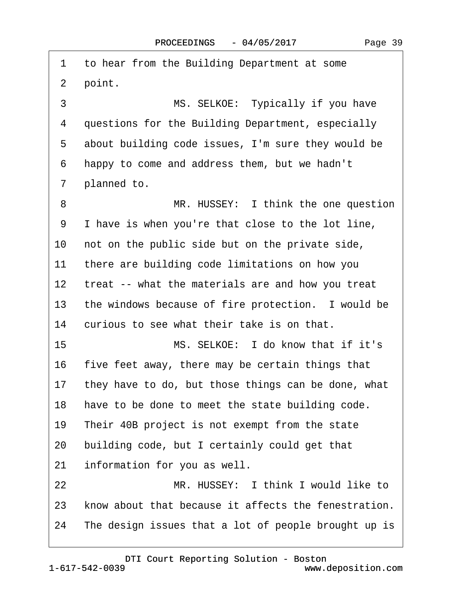<span id="page-38-0"></span>1 to hear from the Building Department at some 2 point. 3 MS. SELKOE: Typically if you have 4 questions for the Building Department, especially 5 about building code issues, I'm sure they would be ·6· ·happy to come and address them, but we hadn't 7 planned to. 8 MR. HUSSEY: I think the one question 9 I have is when you're that close to the lot line, 10 not on the public side but on the private side, 11 there are building code limitations on how you 12 treat -- what the materials are and how you treat 13 the windows because of fire protection. I would be 14 curious to see what their take is on that. 15 **MS. SELKOE:** I do know that if it's 16 five feet away, there may be certain things that 17 they have to do, but those things can be done, what 18 have to be done to meet the state building code. 19 Their 40B project is not exempt from the state 20 building code, but I certainly could get that 21 information for you as well. 22 MR. HUSSEY: I think I would like to 23 know about that because it affects the fenestration. 24 The design issues that a lot of people brought up is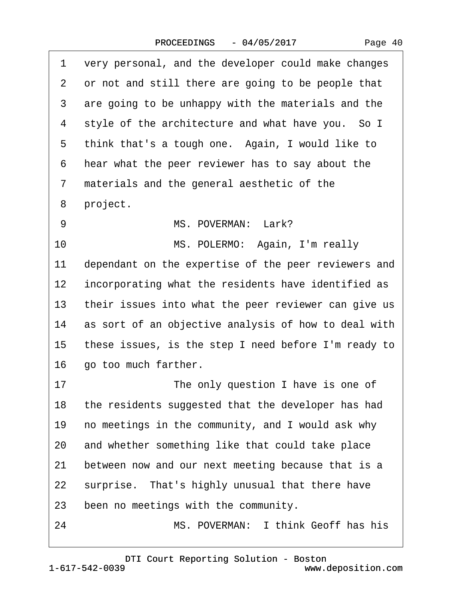<span id="page-39-0"></span>

| 1  | very personal, and the developer could make changes  |
|----|------------------------------------------------------|
| 2  | or not and still there are going to be people that   |
| 3  | are going to be unhappy with the materials and the   |
| 4  | style of the architecture and what have you. So I    |
| 5  | think that's a tough one. Again, I would like to     |
| 6  | hear what the peer reviewer has to say about the     |
| 7  | materials and the general aesthetic of the           |
| 8  | project.                                             |
| 9  | MS. POVERMAN: Lark?                                  |
| 10 | MS. POLERMO: Again, I'm really                       |
| 11 | dependant on the expertise of the peer reviewers and |
| 12 | incorporating what the residents have identified as  |
| 13 | their issues into what the peer reviewer can give us |
| 14 | as sort of an objective analysis of how to deal with |
| 15 | these issues, is the step I need before I'm ready to |
| 16 | go too much farther.                                 |
| 17 | The only question I have is one of                   |
| 18 | the residents suggested that the developer has had   |
| 19 | no meetings in the community, and I would ask why    |
| 20 | and whether something like that could take place     |
| 21 | between now and our next meeting because that is a   |
| 22 | surprise. That's highly unusual that there have      |
| 23 | been no meetings with the community.                 |
| 24 | MS. POVERMAN: I think Geoff has his                  |

Page 40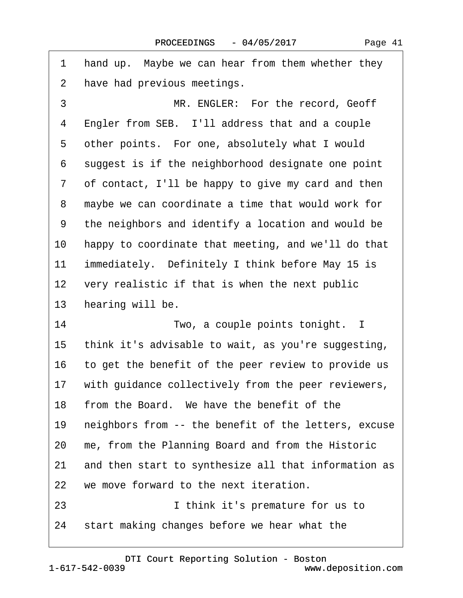<span id="page-40-0"></span>1 hand up. Maybe we can hear from them whether they 2 have had previous meetings. 3 **IDENGLER:** For the record, Geoff 4 Engler from SEB. I'll address that and a couple 5 other points. For one, absolutely what I would 6 suggest is if the neighborhood designate one point 7 of contact, I'll be happy to give my card and then 8 maybe we can coordinate a time that would work for 9 the neighbors and identify a location and would be 10 happy to coordinate that meeting, and we'll do that 11 immediately. Definitely I think before May 15 is 12 very realistic if that is when the next public 13 hearing will be. 14 **Two, a couple points tonight.** I 15 think it's advisable to wait, as you're suggesting, 16 to get the benefit of the peer review to provide us 17 with guidance collectively from the peer reviewers, 18 from the Board. We have the benefit of the 19 neighbors from -- the benefit of the letters, excuse 20 me, from the Planning Board and from the Historic 21 and then start to synthesize all that information as 22 we move forward to the next iteration. 23 **I** think it's premature for us to 24 start making changes before we hear what the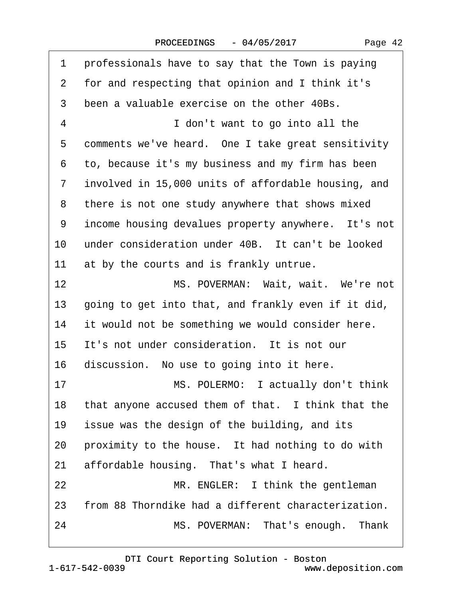<span id="page-41-0"></span>

| 1              | professionals have to say that the Town is paying   |
|----------------|-----------------------------------------------------|
| $\overline{2}$ | for and respecting that opinion and I think it's    |
| 3              | been a valuable exercise on the other 40Bs.         |
| 4              | I don't want to go into all the                     |
| 5              | comments we've heard. One I take great sensitivity  |
| 6              | to, because it's my business and my firm has been   |
| 7              | involved in 15,000 units of affordable housing, and |
| 8              | there is not one study anywhere that shows mixed    |
| 9              | income housing devalues property anywhere. It's not |
| 10             | under consideration under 40B. It can't be looked   |
| 11             | at by the courts and is frankly untrue.             |
| 12             | MS. POVERMAN: Wait, wait. We're not                 |
| 13             | going to get into that, and frankly even if it did, |
| 14             | it would not be something we would consider here.   |
| 15             | It's not under consideration. It is not our         |
| 16             | discussion. No use to going into it here.           |
| 17             | MS. POLERMO: I actually don't think                 |
| 18             | that anyone accused them of that. I think that the  |
| 19             | issue was the design of the building, and its       |
| 20             | proximity to the house. It had nothing to do with   |
| 21             | affordable housing. That's what I heard.            |
| 22             | MR. ENGLER: I think the gentleman                   |
| 23             | from 88 Thorndike had a different characterization. |
| 24             | MS. POVERMAN: That's enough. Thank                  |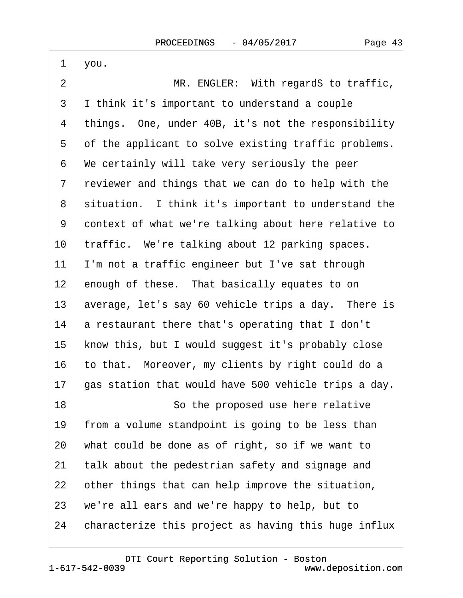<span id="page-42-0"></span>

| 1              | you.                                                 |
|----------------|------------------------------------------------------|
| $\overline{2}$ | MR. ENGLER: With regardS to traffic,                 |
| 3              | I think it's important to understand a couple        |
| 4              | things. One, under 40B, it's not the responsibility  |
| 5              | of the applicant to solve existing traffic problems. |
| 6              | We certainly will take very seriously the peer       |
| 7              | reviewer and things that we can do to help with the  |
| 8              | situation. I think it's important to understand the  |
| 9              | context of what we're talking about here relative to |
| 10             | traffic. We're talking about 12 parking spaces.      |
| 11             | I'm not a traffic engineer but I've sat through      |
| 12             | enough of these. That basically equates to on        |
| 13             | average, let's say 60 vehicle trips a day. There is  |
| 14             | a restaurant there that's operating that I don't     |
| 15             | know this, but I would suggest it's probably close   |
| 16             | to that. Moreover, my clients by right could do a    |
| 17             | gas station that would have 500 vehicle trips a day. |
| 18             | So the proposed use here relative                    |
| 19             | from a volume standpoint is going to be less than    |
| 20             | what could be done as of right, so if we want to     |
| 21             | talk about the pedestrian safety and signage and     |
| 22             | other things that can help improve the situation,    |
| 23             | we're all ears and we're happy to help, but to       |
| 24             | characterize this project as having this huge influx |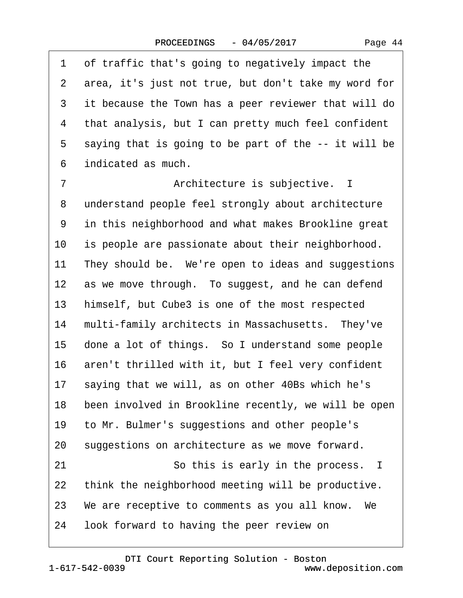|  | Page 44 |  |
|--|---------|--|
|--|---------|--|

<span id="page-43-0"></span>

| 1                 | of traffic that's going to negatively impact the     |
|-------------------|------------------------------------------------------|
| 2                 | area, it's just not true, but don't take my word for |
| 3                 | it because the Town has a peer reviewer that will do |
| 4                 | that analysis, but I can pretty much feel confident  |
| 5                 | saying that is going to be part of the -- it will be |
| 6                 | indicated as much.                                   |
| $\overline{7}$    | Architecture is subjective. I                        |
| 8                 | understand people feel strongly about architecture   |
| 9                 | in this neighborhood and what makes Brookline great  |
| 10                | is people are passionate about their neighborhood.   |
| 11                | They should be. We're open to ideas and suggestions  |
| $12 \overline{ }$ | as we move through. To suggest, and he can defend    |
| 13                | himself, but Cube3 is one of the most respected      |
| 14                | multi-family architects in Massachusetts. They've    |
| 15                | done a lot of things. So I understand some people    |
| 16                | aren't thrilled with it, but I feel very confident   |
| 17                | saying that we will, as on other 40Bs which he's     |
| 18                | been involved in Brookline recently, we will be open |
| 19                | to Mr. Bulmer's suggestions and other people's       |
| 20                | suggestions on architecture as we move forward.      |
| 21                | So this is early in the process. I                   |
| 22                | think the neighborhood meeting will be productive.   |
|                   | 23 We are receptive to comments as you all know. We  |
| 24                | look forward to having the peer review on            |
|                   |                                                      |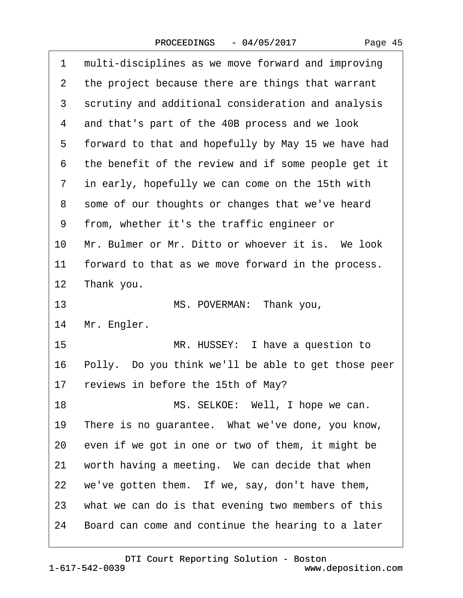|  | Page 45 |  |
|--|---------|--|
|--|---------|--|

<span id="page-44-0"></span>

| 1              | multi-disciplines as we move forward and improving  |
|----------------|-----------------------------------------------------|
| $\overline{2}$ | the project because there are things that warrant   |
| 3              | scrutiny and additional consideration and analysis  |
| 4              | and that's part of the 40B process and we look      |
| 5              | forward to that and hopefully by May 15 we have had |
| 6              | the benefit of the review and if some people get it |
| 7              | in early, hopefully we can come on the 15th with    |
| 8              | some of our thoughts or changes that we've heard    |
| 9              | from, whether it's the traffic engineer or          |
| 10             | Mr. Bulmer or Mr. Ditto or whoever it is. We look   |
| 11             | forward to that as we move forward in the process.  |
| 12             | Thank you.                                          |
| 13             | MS. POVERMAN: Thank you,                            |
| 14             | Mr. Engler.                                         |
| 15             | MR. HUSSEY: I have a question to                    |
| 16             | Polly. Do you think we'll be able to get those peer |
| 17             | reviews in before the 15th of May?                  |
| 18             | MS. SELKOE: Well, I hope we can.                    |
| 19             | There is no guarantee. What we've done, you know,   |
| 20             | even if we got in one or two of them, it might be   |
| 21             | worth having a meeting. We can decide that when     |
| 22             | we've gotten them. If we, say, don't have them,     |
| 23             | what we can do is that evening two members of this  |
| 24             | Board can come and continue the hearing to a later  |
|                |                                                     |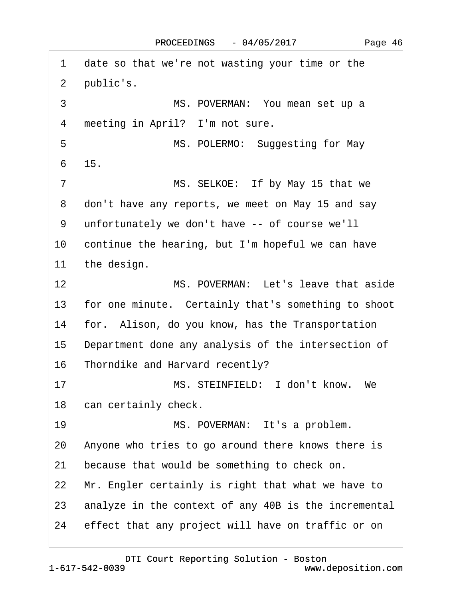<span id="page-45-0"></span>

| 1      | date so that we're not wasting your time or the      |
|--------|------------------------------------------------------|
| 2      | public's.                                            |
| 3      | MS. POVERMAN: You mean set up a                      |
| 4      | meeting in April? I'm not sure.                      |
| 5      | MS. POLERMO: Suggesting for May                      |
| 6      | 15.                                                  |
| 7      | MS. SELKOE: If by May 15 that we                     |
| 8      | don't have any reports, we meet on May 15 and say    |
| 9      | unfortunately we don't have -- of course we'll       |
| 10     | continue the hearing, but I'm hopeful we can have    |
| 11     | the design.                                          |
| 12     | MS. POVERMAN: Let's leave that aside                 |
| 13     | for one minute. Certainly that's something to shoot  |
| 14     | for. Alison, do you know, has the Transportation     |
| $15\,$ | Department done any analysis of the intersection of  |
|        | 16 Thorndike and Harvard recently?                   |
| 17     | MS. STEINFIELD: I don't know. We                     |
|        | 18 can certainly check.                              |
| 19     | MS. POVERMAN: It's a problem.                        |
| 20     | Anyone who tries to go around there knows there is   |
| 21     | because that would be something to check on.         |
| 22     | Mr. Engler certainly is right that what we have to   |
| 23     | analyze in the context of any 40B is the incremental |
| 24     |                                                      |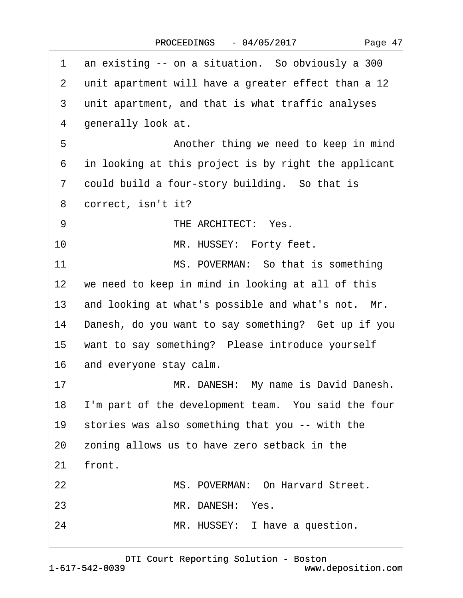| Page 47 |  |
|---------|--|
|---------|--|

<span id="page-46-0"></span>

| 1               | an existing -- on a situation. So obviously a 300      |  |  |  |  |
|-----------------|--------------------------------------------------------|--|--|--|--|
| $\overline{2}$  | unit apartment will have a greater effect than a 12    |  |  |  |  |
| 3               | unit apartment, and that is what traffic analyses      |  |  |  |  |
| 4               | generally look at.                                     |  |  |  |  |
| 5               | Another thing we need to keep in mind                  |  |  |  |  |
| 6               | in looking at this project is by right the applicant   |  |  |  |  |
| 7               | could build a four-story building. So that is          |  |  |  |  |
| 8               | correct, isn't it?                                     |  |  |  |  |
| 9               | THE ARCHITECT: Yes.                                    |  |  |  |  |
| 10              | MR. HUSSEY: Forty feet.                                |  |  |  |  |
| 11              | MS. POVERMAN: So that is something                     |  |  |  |  |
| 12 <sub>2</sub> | we need to keep in mind in looking at all of this      |  |  |  |  |
| 13              | and looking at what's possible and what's not. Mr.     |  |  |  |  |
| 14              | Danesh, do you want to say something? Get up if you    |  |  |  |  |
| 15              | want to say something? Please introduce yourself       |  |  |  |  |
| 16              | and everyone stay calm.                                |  |  |  |  |
| 17              | MR. DANESH: My name is David Danesh.                   |  |  |  |  |
|                 | 18 I'm part of the development team. You said the four |  |  |  |  |
|                 | 19 stories was also something that you -- with the     |  |  |  |  |
| 20              | zoning allows us to have zero setback in the           |  |  |  |  |
| 21              | front.                                                 |  |  |  |  |
| 22              | MS. POVERMAN: On Harvard Street.                       |  |  |  |  |
| 23              | MR. DANESH: Yes.                                       |  |  |  |  |
| 24              | MR. HUSSEY: I have a question.                         |  |  |  |  |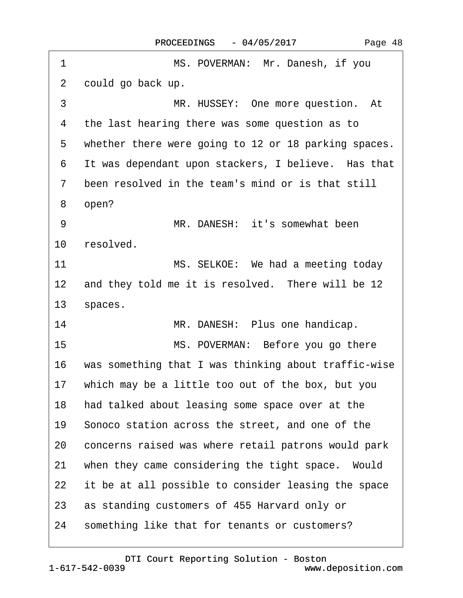| 1               | MS. POVERMAN: Mr. Danesh, if you                     |  |  |  |
|-----------------|------------------------------------------------------|--|--|--|
| 2               | could go back up.                                    |  |  |  |
| 3               | MR. HUSSEY: One more question. At                    |  |  |  |
| 4               | the last hearing there was some question as to       |  |  |  |
| 5               | whether there were going to 12 or 18 parking spaces. |  |  |  |
| 6               | It was dependant upon stackers, I believe. Has that  |  |  |  |
| $\overline{7}$  | been resolved in the team's mind or is that still    |  |  |  |
| 8               | open?                                                |  |  |  |
| 9               | MR. DANESH: it's somewhat been                       |  |  |  |
| 10 <sup>°</sup> | resolved.                                            |  |  |  |
| 11              | MS. SELKOE: We had a meeting today                   |  |  |  |
| 12              | and they told me it is resolved. There will be 12    |  |  |  |
| 13              | spaces.                                              |  |  |  |
| 14              | MR. DANESH: Plus one handicap.                       |  |  |  |
| 15              | MS. POVERMAN: Before you go there                    |  |  |  |
| 16              | was something that I was thinking about traffic-wise |  |  |  |
| 17 <sup>1</sup> | which may be a little too out of the box, but you    |  |  |  |
| 18              | had talked about leasing some space over at the      |  |  |  |
| 19              | Sonoco station across the street, and one of the     |  |  |  |
| 20              | concerns raised was where retail patrons would park  |  |  |  |
| 21              | when they came considering the tight space. Would    |  |  |  |
| 22              | it be at all possible to consider leasing the space  |  |  |  |
| 23              | as standing customers of 455 Harvard only or         |  |  |  |
| 24              | something like that for tenants or customers?        |  |  |  |

<span id="page-47-0"></span> $\Gamma$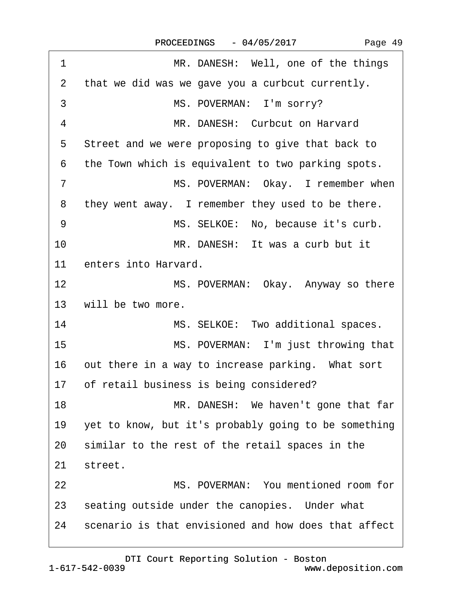<span id="page-48-0"></span>

| 1              | MR. DANESH: Well, one of the things                  |
|----------------|------------------------------------------------------|
| 2              | that we did was we gave you a curbcut currently.     |
| 3              | MS. POVERMAN: I'm sorry?                             |
| 4              | MR. DANESH: Curbcut on Harvard                       |
| 5              | Street and we were proposing to give that back to    |
| 6              | the Town which is equivalent to two parking spots.   |
| $\overline{7}$ | MS. POVERMAN: Okay. I remember when                  |
| 8              | they went away. I remember they used to be there.    |
| 9              | MS. SELKOE: No, because it's curb.                   |
| 10             | MR. DANESH: It was a curb but it                     |
| 11             | enters into Harvard.                                 |
| 12             | MS. POVERMAN: Okay. Anyway so there                  |
| 13             | will be two more.                                    |
| 14             | MS. SELKOE: Two additional spaces.                   |
| 15             | MS. POVERMAN: I'm just throwing that                 |
| 16             | out there in a way to increase parking. What sort    |
| 17             | of retail business is being considered?              |
| 18             | MR. DANESH: We haven't gone that far                 |
| 19             | yet to know, but it's probably going to be something |
| 20             | similar to the rest of the retail spaces in the      |
| 21             | street.                                              |
| 22             | MS. POVERMAN: You mentioned room for                 |
| 23             | seating outside under the canopies. Under what       |
| 24             | scenario is that envisioned and how does that affect |
|                |                                                      |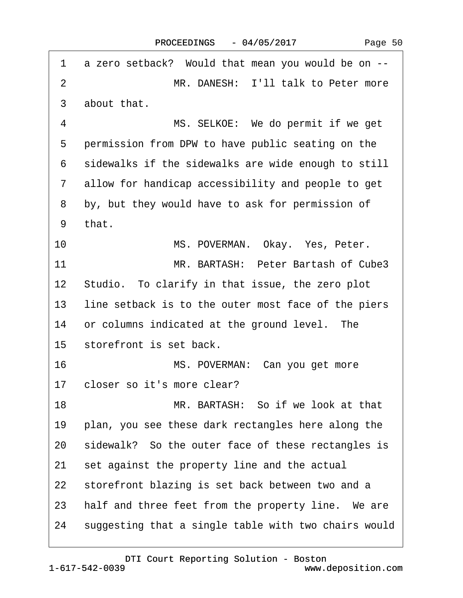<span id="page-49-0"></span>

| 1             | a zero setback? Would that mean you would be on --   |
|---------------|------------------------------------------------------|
| 2             | MR. DANESH: I'll talk to Peter more                  |
| 3             | about that.                                          |
| 4             | MS. SELKOE: We do permit if we get                   |
| 5             | permission from DPW to have public seating on the    |
| 6             | sidewalks if the sidewalks are wide enough to still  |
| $\mathcal{I}$ | allow for handicap accessibility and people to get   |
| 8             | by, but they would have to ask for permission of     |
| 9             | that.                                                |
| 10            | MS. POVERMAN. Okay. Yes, Peter.                      |
| 11            | MR. BARTASH: Peter Bartash of Cube3                  |
|               | 12 Studio. To clarify in that issue, the zero plot   |
| 13            | line setback is to the outer most face of the piers  |
| 14            | or columns indicated at the ground level. The        |
| 15            | storefront is set back.                              |
| 16            | MS. POVERMAN: Can you get more                       |
| 17            | closer so it's more clear?                           |
| 18            | MR. BARTASH: So if we look at that                   |
| 19            | plan, you see these dark rectangles here along the   |
| 20            | sidewalk? So the outer face of these rectangles is   |
| 21            | set against the property line and the actual         |
| 22            | storefront blazing is set back between two and a     |
| 23            | half and three feet from the property line. We are   |
| 24            | suggesting that a single table with two chairs would |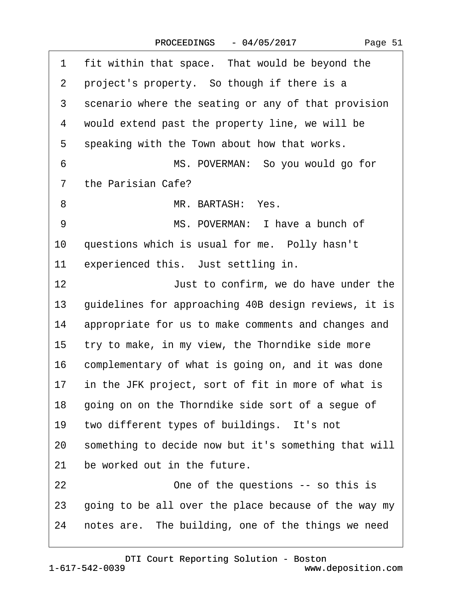<span id="page-50-0"></span>

| 1               | fit within that space. That would be beyond the      |  |  |  |
|-----------------|------------------------------------------------------|--|--|--|
| 2               | project's property. So though if there is a          |  |  |  |
| 3               | scenario where the seating or any of that provision  |  |  |  |
| 4               | would extend past the property line, we will be      |  |  |  |
| 5               | speaking with the Town about how that works.         |  |  |  |
| 6               | MS. POVERMAN: So you would go for                    |  |  |  |
| 7               | the Parisian Cafe?                                   |  |  |  |
| 8               | MR. BARTASH: Yes.                                    |  |  |  |
| 9               | MS. POVERMAN: I have a bunch of                      |  |  |  |
| 10              | questions which is usual for me. Polly hasn't        |  |  |  |
| 11              | experienced this. Just settling in.                  |  |  |  |
| 12              | Just to confirm, we do have under the                |  |  |  |
| 13              | guidelines for approaching 40B design reviews, it is |  |  |  |
| 14              | appropriate for us to make comments and changes and  |  |  |  |
| 15              | try to make, in my view, the Thorndike side more     |  |  |  |
| 16              | complementary of what is going on, and it was done   |  |  |  |
| 17 <sup>1</sup> | in the JFK project, sort of fit in more of what is   |  |  |  |
| 18              | going on on the Thorndike side sort of a segue of    |  |  |  |
| 19              | two different types of buildings. It's not           |  |  |  |
| 20              | something to decide now but it's something that will |  |  |  |
| 21              | be worked out in the future.                         |  |  |  |
| 22              | One of the questions -- so this is                   |  |  |  |
| 23              | going to be all over the place because of the way my |  |  |  |
| 24              | notes are. The building, one of the things we need   |  |  |  |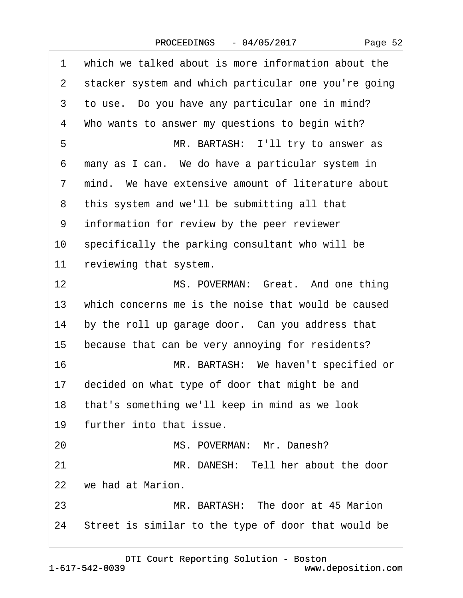|  | Page 52 |  |
|--|---------|--|
|--|---------|--|

<span id="page-51-0"></span>

| 1  | which we talked about is more information about the    |  |  |  |
|----|--------------------------------------------------------|--|--|--|
| 2  | stacker system and which particular one you're going   |  |  |  |
| 3  | to use. Do you have any particular one in mind?        |  |  |  |
| 4  | Who wants to answer my questions to begin with?        |  |  |  |
| 5  | MR. BARTASH: I'll try to answer as                     |  |  |  |
| 6  | many as I can. We do have a particular system in       |  |  |  |
| 7  | mind. We have extensive amount of literature about     |  |  |  |
| 8  | this system and we'll be submitting all that           |  |  |  |
| 9  | information for review by the peer reviewer            |  |  |  |
| 10 | specifically the parking consultant who will be        |  |  |  |
| 11 | reviewing that system.                                 |  |  |  |
| 12 | MS. POVERMAN: Great. And one thing                     |  |  |  |
| 13 | which concerns me is the noise that would be caused    |  |  |  |
| 14 | by the roll up garage door. Can you address that       |  |  |  |
| 15 | because that can be very annoying for residents?       |  |  |  |
| 16 | MR. BARTASH: We haven't specified or                   |  |  |  |
| 17 | decided on what type of door that might be and         |  |  |  |
|    | 18 that's something we'll keep in mind as we look      |  |  |  |
| 19 | further into that issue.                               |  |  |  |
| 20 | MS. POVERMAN: Mr. Danesh?                              |  |  |  |
| 21 | MR. DANESH: Tell her about the door                    |  |  |  |
| 22 | we had at Marion.                                      |  |  |  |
| 23 | MR. BARTASH: The door at 45 Marion                     |  |  |  |
|    | 24 Street is similar to the type of door that would be |  |  |  |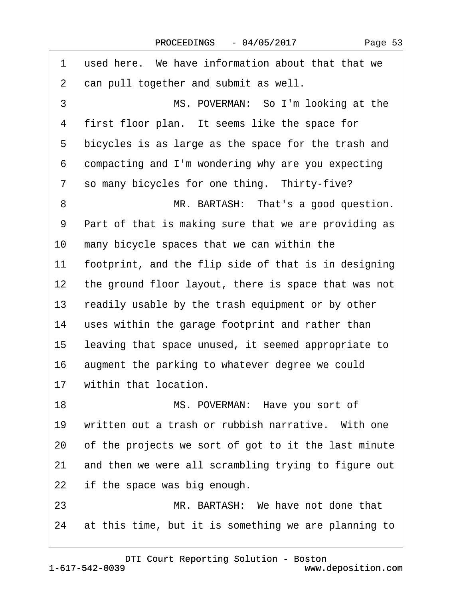<span id="page-52-0"></span>

| 1                 | used here. We have information about that that we    |  |  |  |
|-------------------|------------------------------------------------------|--|--|--|
| 2                 | can pull together and submit as well.                |  |  |  |
| 3                 | MS. POVERMAN: So I'm looking at the                  |  |  |  |
| 4                 | first floor plan. It seems like the space for        |  |  |  |
| 5                 | bicycles is as large as the space for the trash and  |  |  |  |
| 6                 | compacting and I'm wondering why are you expecting   |  |  |  |
| 7                 | so many bicycles for one thing. Thirty-five?         |  |  |  |
| 8                 | MR. BARTASH: That's a good question.                 |  |  |  |
| 9                 | Part of that is making sure that we are providing as |  |  |  |
| 10                | many bicycle spaces that we can within the           |  |  |  |
| 11                | footprint, and the flip side of that is in designing |  |  |  |
| $12 \overline{ }$ | the ground floor layout, there is space that was not |  |  |  |
| 13                | readily usable by the trash equipment or by other    |  |  |  |
| 14                | uses within the garage footprint and rather than     |  |  |  |
| 15                | leaving that space unused, it seemed appropriate to  |  |  |  |
| 16                | augment the parking to whatever degree we could      |  |  |  |
| 17                | within that location.                                |  |  |  |
| 18                | MS. POVERMAN: Have you sort of                       |  |  |  |
| 19                | written out a trash or rubbish narrative. With one   |  |  |  |
| 20                | of the projects we sort of got to it the last minute |  |  |  |
| 21                | and then we were all scrambling trying to figure out |  |  |  |
| 22                | if the space was big enough.                         |  |  |  |
| 23                | MR. BARTASH: We have not done that                   |  |  |  |
| 24                | at this time, but it is something we are planning to |  |  |  |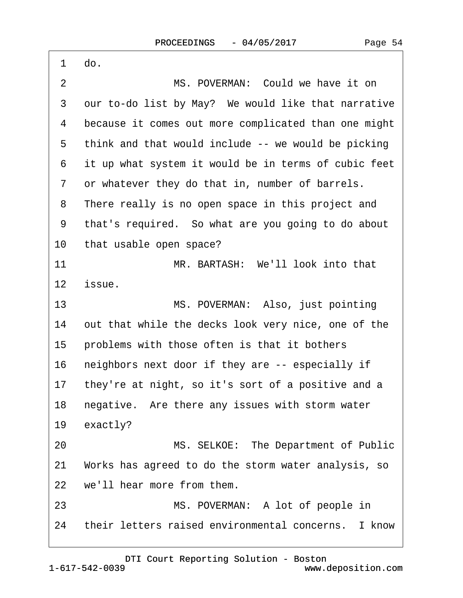<span id="page-53-0"></span>

| 1       | do.                                                  |
|---------|------------------------------------------------------|
| 2       | MS. POVERMAN: Could we have it on                    |
| 3       | our to-do list by May? We would like that narrative  |
| 4       | because it comes out more complicated than one might |
| 5       | think and that would include -- we would be picking  |
| 6       | it up what system it would be in terms of cubic feet |
| 7       | or whatever they do that in, number of barrels.      |
| 8       | There really is no open space in this project and    |
| 9       | that's required. So what are you going to do about   |
| 10      | that usable open space?                              |
| 11      | MR. BARTASH: We'll look into that                    |
| $12 \,$ | issue.                                               |
| 13      | MS. POVERMAN: Also, just pointing                    |
| 14      | out that while the decks look very nice, one of the  |
| 15      | problems with those often is that it bothers         |
| 16      | neighbors next door if they are -- especially if     |
| 17      | they're at night, so it's sort of a positive and a   |
| 18      | negative. Are there any issues with storm water      |
| 19      | exactly?                                             |
| 20      | MS. SELKOE: The Department of Public                 |
| 21      | Works has agreed to do the storm water analysis, so  |
| 22      | we'll hear more from them.                           |
| 23      | MS. POVERMAN: A lot of people in                     |
| 24      | their letters raised environmental concerns. I know  |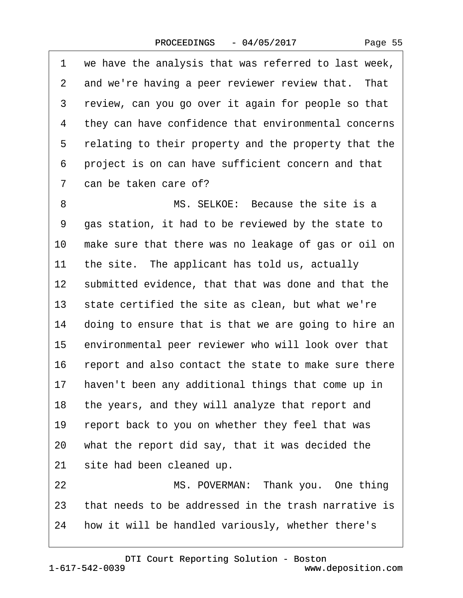Page 55

<span id="page-54-0"></span>1 we have the analysis that was referred to last week, 2 and we're having a peer reviewer review that. That 3 review, can you go over it again for people so that 4 they can have confidence that environmental concerns 5 relating to their property and the property that the 6 project is on can have sufficient concern and that 7 can be taken care of? 8 MS. SELKOE: Because the site is a 9 gas station, it had to be reviewed by the state to 10 make sure that there was no leakage of gas or oil on 11 the site. The applicant has told us, actually 12 submitted evidence, that that was done and that the 13 state certified the site as clean, but what we're 14 doing to ensure that is that we are going to hire an 15 environmental peer reviewer who will look over that 16 report and also contact the state to make sure there 17 haven't been any additional things that come up in 18 the years, and they will analyze that report and 19 report back to you on whether they feel that was 20 what the report did say, that it was decided the 21 site had been cleaned up. 22 **8 · · · · · MS. POVERMAN: Thank you.** One thing 23 that needs to be addressed in the trash narrative is 24 how it will be handled variously, whether there's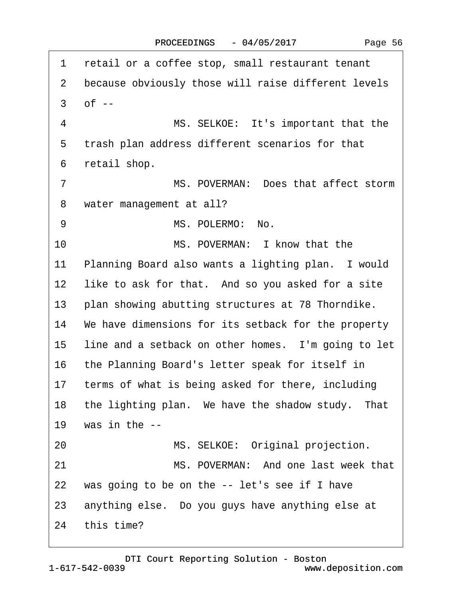<span id="page-55-0"></span>1 retail or a coffee stop, small restaurant tenant 2 because obviously those will raise different levels  $3$  of  $-$ 4 MS. SELKOE: It's important that the 5 trash plan address different scenarios for that 6 retail shop. 7 MS. POVERMAN: Does that affect storm 8 water management at all? 9 MS. POLERMO: No. 10 **MS. POVERMAN: I know that the** 11 Planning Board also wants a lighting plan. I would 12 like to ask for that. And so you asked for a site 13 plan showing abutting structures at 78 Thorndike. 14 We have dimensions for its setback for the property 15 line and a setback on other homes. I'm going to let 16 the Planning Board's letter speak for itself in 17 terms of what is being asked for there, including 18 the lighting plan. We have the shadow study. That 19 was in the  $-$ 20 MS. SELKOE: Original projection. 21 MS. POVERMAN: And one last week that 22 was going to be on the  $-$  let's see if I have 23 anything else. Do you guys have anything else at 24 this time?

1-617-542-0039 [DTI Court Reporting Solution - Boston](http://www.deposition.com) www.deposition.com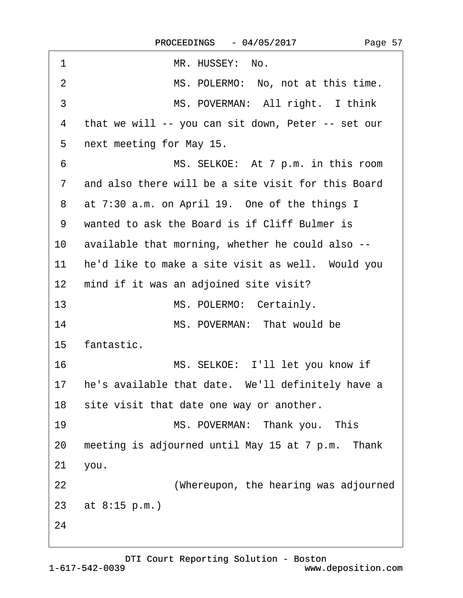<span id="page-56-0"></span>

| 1                 | MR. HUSSEY: No.                                      |
|-------------------|------------------------------------------------------|
| 2                 | MS. POLERMO: No, not at this time.                   |
| 3                 | MS. POVERMAN: All right. I think                     |
| 4                 | that we will -- you can sit down, Peter -- set our   |
| 5                 | next meeting for May 15.                             |
| 6                 | MS. SELKOE: At 7 p.m. in this room                   |
| $\overline{7}$    | and also there will be a site visit for this Board   |
| 8                 | at 7:30 a.m. on April 19. One of the things I        |
| 9                 | wanted to ask the Board is if Cliff Bulmer is        |
| 10                | available that morning, whether he could also --     |
| 11                | he'd like to make a site visit as well. Would you    |
| $12 \overline{ }$ | mind if it was an adjoined site visit?               |
| 13                | MS. POLERMO: Certainly.                              |
| 14                | MS. POVERMAN: That would be                          |
| 15                | fantastic.                                           |
| 16                | MS. SELKOE: I'll let you know if                     |
|                   | 17 he's available that date. We'll definitely have a |
|                   | 18 site visit that date one way or another.          |
| 19                | MS. POVERMAN: Thank you. This                        |
| 20                | meeting is adjourned until May 15 at 7 p.m. Thank    |
| 21                | you.                                                 |
| 22                | (Whereupon, the hearing was adjourned                |
|                   | 23 at 8:15 p.m.)                                     |
| 24                |                                                      |
|                   |                                                      |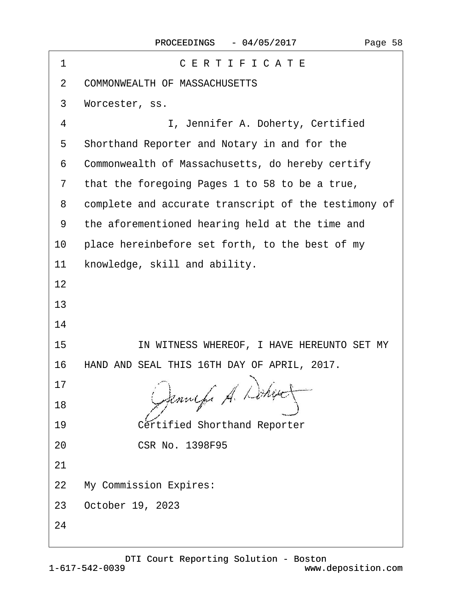| 1  | CERTIFICATE                                          |  |  |  |
|----|------------------------------------------------------|--|--|--|
| 2  | <b>COMMONWEALTH OF MASSACHUSETTS</b>                 |  |  |  |
| 3  | Worcester, ss.                                       |  |  |  |
| 4  | I, Jennifer A. Doherty, Certified                    |  |  |  |
| 5  | Shorthand Reporter and Notary in and for the         |  |  |  |
| 6  | Commonwealth of Massachusetts, do hereby certify     |  |  |  |
| 7  | that the foregoing Pages 1 to 58 to be a true,       |  |  |  |
| 8  | complete and accurate transcript of the testimony of |  |  |  |
| 9  | the aforementioned hearing held at the time and      |  |  |  |
| 10 | place hereinbefore set forth, to the best of my      |  |  |  |
| 11 | knowledge, skill and ability.                        |  |  |  |
| 12 |                                                      |  |  |  |
| 13 |                                                      |  |  |  |
| 14 |                                                      |  |  |  |
| 15 | IN WITNESS WHEREOF, I HAVE HEREUNTO SET MY           |  |  |  |
| 16 | HAND AND SEAL THIS 16TH DAY OF APRIL, 2017.          |  |  |  |
| 17 |                                                      |  |  |  |
| 18 |                                                      |  |  |  |
| 19 | <b>Certified Shorthand Reporter</b>                  |  |  |  |
| 20 | <b>CSR No. 1398F95</b>                               |  |  |  |
| 21 |                                                      |  |  |  |
| 22 | <b>My Commission Expires:</b>                        |  |  |  |
| 23 | October 19, 2023                                     |  |  |  |
| 24 |                                                      |  |  |  |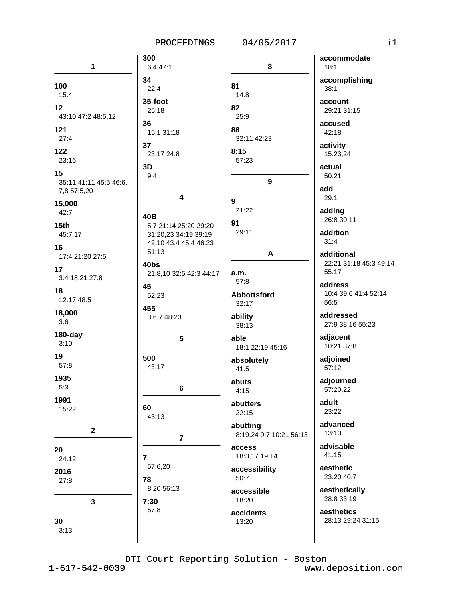|                        | 300                          |                         | accommodate            |
|------------------------|------------------------------|-------------------------|------------------------|
| $\mathbf{1}$           | 6:4 47:1                     | 8                       | 18:1                   |
| 100                    | 34<br>22:4                   | 81                      | accomplishing<br>38:1  |
| 15:4                   | 35-foot                      | 14:8                    | account                |
| 12                     | 25:18                        | 82                      | 29:21 31:15            |
| 43:10 47:2 48:5,12     |                              | 25:9                    |                        |
| 121                    | 36<br>15:1 31:18             | 88                      | accused<br>42:18       |
| 27:4                   |                              | 32:11 42:23             |                        |
| 122                    | 37<br>23:17 24:8             | 8:15                    | activity<br>15:23,24   |
| 23:16                  |                              | 57:23                   |                        |
| 15                     | 3D                           |                         | actual                 |
| 35:11 41:11 45:5 46:6, | 9:4                          | $\boldsymbol{9}$        | 50:21                  |
| 7,8 57:5,20            |                              |                         | add                    |
| 15,000                 | 4                            | 9                       | 29:1                   |
| 42:7                   |                              | 21:22                   | adding                 |
| 15 <sub>th</sub>       | 40B<br>5:7 21:14 25:20 29:20 | 91                      | 26:8 30:11             |
| 45:7,17                | 31:20,23 34:19 39:19         | 29:11                   | addition               |
| 16                     | 42:10 43:4 45:4 46:23        |                         | 31:4                   |
| 17:4 21:20 27:5        | 51:13                        | A                       | additional             |
| 17                     | 40bs                         |                         | 22:21 31:18 45:3 49:14 |
| 3:4 18:21 27:8         | 21:8,10 32:5 42:3 44:17      | a.m.                    | 55:17                  |
|                        | 45                           | 57:8                    | address                |
| 18<br>12:17 48:5       | 52:23                        | Abbottsford             | 10:4 39:6 41:4 52:14   |
|                        | 455                          | 32:17                   | 56:5                   |
| 18,000<br>3:6          | 3:6,7 48:23                  | ability                 | addressed              |
|                        |                              | 38:13                   | 27:9 38:16 55:23       |
| $180$ -day             | $5\phantom{.0}$              | able                    | adjacent               |
| 3:10                   |                              | 18:1 22:19 45:16        | 10:21 37:8             |
| 19                     | 500                          | absolutely              | adjoined               |
| 57:8                   | 43:17                        | 41:5                    | 57:12                  |
| 1935                   |                              | abuts                   | adjourned              |
| 5:3                    | 6                            | 4:15                    | 57:20,22               |
| 1991                   |                              | abutters                | adult                  |
| 15:22                  | 60<br>43:13                  | 22:15                   | 23:22                  |
|                        |                              | abutting                | advanced               |
| $\mathbf{2}$           | $\overline{7}$               | 8:19,24 9:7 10:21 56:13 | 13:10                  |
|                        |                              | access                  | advisable              |
| 20<br>24:12            | $\overline{7}$               | 18:3,17 19:14           | 41:15                  |
|                        | 57:6,20                      | accessibility           | aesthetic              |
| 2016                   | 78                           | 50:7                    | 23:20 40:7             |
| 27:8                   | 8:20 56:13                   | accessible              | aesthetically          |
|                        | 7:30                         | 18:20                   | 28:8 33:19             |
| $\mathbf{3}$           | 57:8                         |                         | aesthetics             |
| 30                     |                              | accidents<br>13:20      | 28:13 29:24 31:15      |
| 3:13                   |                              |                         |                        |
|                        |                              |                         |                        |

 $1 - 617 - 542 - 0039$ 

www.deposition.com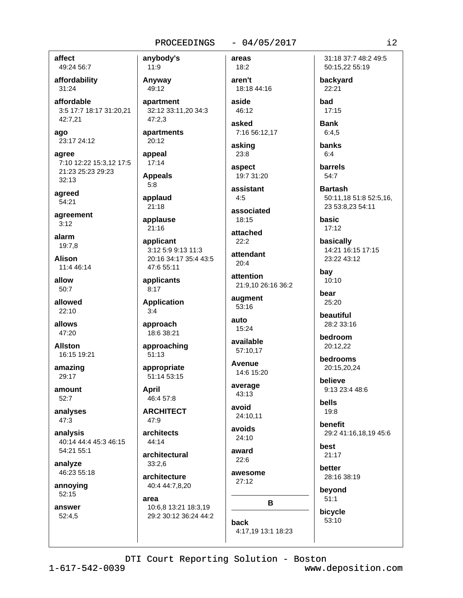# affect 49:24 56:7

affordability  $31:24$ 

affordable 3:5 17:7 18:17 31:20,21 42:7,21

ago 23:17 24:12

agree 7:10 12:22 15:3,12 17:5 21:23 25:23 29:23  $32:13$ 

agreed 54:21

agreement  $3:12$ 

alarm 19:7.8

**Alison** 11:4 46:14

allow  $50:7$ 

allowed 22:10

allows 47:20

**Allston** 16:15 19:21

amazing 29:17

amount 52:7

analyses 47:3

analysis 40:14 44:4 45:3 46:15 54:21 55:1

analyze 46:23 55:18

annoying 52:15

answer  $52:4.5$ 

11:9 Anyway 49:12 apartment 32:12 33:11,20 34:3  $47:2.3$ apartments

 $20:12$ appeal

anybody's

 $17:14$ 

**Appeals**  $5:8$ 

applaud  $21:18$ 

applause

 $21:16$ applicant

3:12 5:9 9:13 11:3 20:16 34:17 35:4 43:5 47:6 55:11

applicants  $8:17$ 

**Application**  $3:4$ 

approach 18:6 38:21

approaching  $51:13$ 

appropriate 51:14 53:15

**April** 46:4 57:8

**ARCHITECT** 47:9

architects  $44:14$ 

architectural  $33:2.6$ 

architecture 40:4 44:7,8,20

area 10:6,8 13:21 18:3,19 29:2 30:12 36:24 44:2

46:12 asked

18:18 44:16

areas

 $18:2$ 

aren't

aside

7:16 56:12.17 asking

 $-04/05/2017$ 

23:8

aspect

19:7 31:20 assistant

 $4:5$ associated

18:15

attached  $22:2$ 

attendant  $20:4$ 

attention 21:9,10 26:16 36:2

augment  $53:16$ 

auto 15:24

available 57:10.17

**Avenue** 14:6 15:20

average  $43:13$ 

avoid 24:10,11

avoids  $24:10$ 

award  $22:6$ 

awesome  $27:12$ 

B

barrels  $54:7$ 

> **Bartash** 50:11,18 51:8 52:5,16, 23 53:8,23 54:11

31:18 37:7 48:2 49:5

50:15,22 55:19

backyard

22:21

 $17:15$ 

**Bank** 

 $6:4.5$ 

banks

 $6:4$ 

had

basic  $17:12$ 

basically 14:21 16:15 17:15 23:22 43:12

bay 10:10

bear 25:20

beautiful 28:2 33:16

bedroom 20:12.22

bedrooms 20:15,20,24

believe 9:13 23:4 48:6

bells 19:8

benefit 29:2 41:16,18,19 45:6

best  $21:17$ 

**better** 28:16 38:19

beyond  $51:1$ 

bicycle 53:10

4:17,19 13:1 18:23

back

DTI Court Reporting Solution - Boston www.deposition.com

 $i2$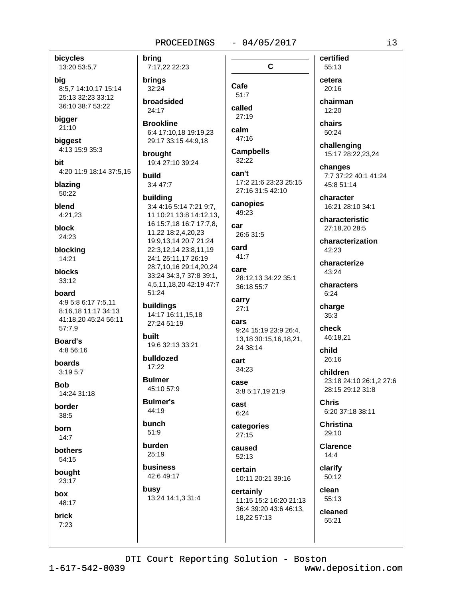bring

### $-04/05/2017$

C

bicycles

13:20 53:5,7

big 8:5,7 14:10,17 15:14 25:13 32:23 33:12 36:10 38:7 53:22

bigger  $21:10$ 

biggest 4:13 15:9 35:3

**hit** 4:20 11:9 18:14 37:5,15

blazing 50:22

blend  $4:21.23$ 

**block** 24:23

blocking 14:21

blocks  $33:12$ 

### board

4:9 5:8 6:17 7:5,11 8:16.18 11:17 34:13 41:18,20 45:24 56:11  $57:7,9$ 

**Board's** 4:8 56:16

boards  $3:195:7$ 

**Bob** 14:24 31:18

border  $38.5$ 

born  $14:7$ 

bothers 54:15

bought 23:17

box

48:17 brick  $7:23$ 

7:17,22 22:23 **brings** 32:24 broadsided 24:17 **Brookline** 6:4 17:10.18 19:19.23 29:17 33:15 44:9.18 brought 19:4 27:10 39:24 build  $3:447:7$ building 3:4 4:16 5:14 7:21 9:7, 11 10:21 13:8 14:12,13, 16 15:7,18 16:7 17:7,8, car 11,22 18:2,4,20,23 19:9,13,14 20:7 21:24 22:3,12,14 23:8,11,19 24:1 25:11,17 26:19 28:7,10,16 29:14,20,24 care 33:24 34:3.7 37:8 39:1. 4,5,11,18,20 42:19 47:7 51:24 buildings 14:17 16:11,15,18 27:24 51:19 built 19:6 32:13 33:21

bulldozed  $17:22$ 

**Bulmer** 45:10 57:9

**Bulmer's** 44:19

bunch  $51:9$ 

burden 25:19 **business** 

42:6 49:17 busy

13:24 14:1,3 31:4

Cafe  $51:7$ 

called  $27:19$ 

calm 47:16

**Campbells**  $32.22$ 

can't 17:2 21:6 23:23 25:15 27:16 31:5 42:10

canopies 49:23

26:6 31:5

card 41:7

> 28:12,13 34:22 35:1 36:18 55:7

carry  $27:1$ cars

9:24 15:19 23:9 26:4, 13.18 30:15.16.18.21.  $24.38 \cdot 14$ 

cart 34:23

case 3:8 5:17,19 21:9

cast  $6:24$ 

categories  $27:15$ 

caused 52:13

certain 10:11 20:21 39:16

certainly 11:15 15:2 16:20 21:13 36:4 39:20 43:6 46:13. cleaned 18,22 57:13 55:21

55:13 cetera  $20:16$ chairman

certified

12:20

chairs  $50:24$ 

challenging 15:17 28:22,23,24

changes 7:7 37:22 40:1 41:24 45:8 51:14

character 16:21 28:10 34:1

characteristic 27:18.20 28:5

characterization  $42:23$ 

characterize 43:24

characters  $6:24$ 

charge  $35:3$ 

check 46:18,21

child  $26:16$ 

children 23:18 24:10 26:1.2 27:6 28:15 29:12 31:8

**Chris** 6:20 37:18 38:11

**Christina**  $29:10$ 

Clarence  $14:4$ 

clarify 50:12

clean 55:13

DTI Court Reporting Solution - Boston

 $1 - 617 - 542 - 0039$ 

www.deposition.com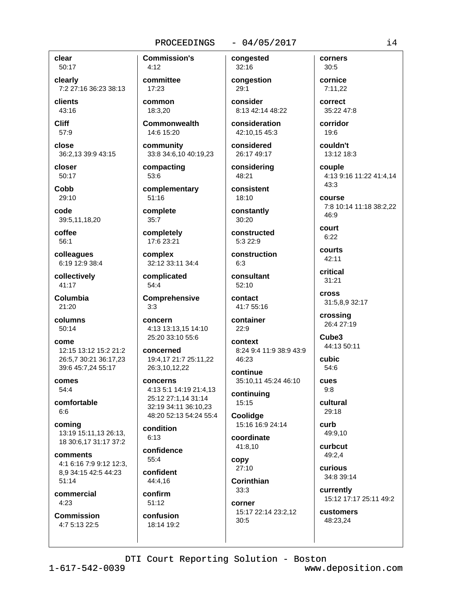# $-04/05/2017$

clear 50:17

clearly 7:2 27:16 36:23 38:13

clients 43:16

**Cliff** 57:9

close 36:2,13 39:9 43:15

closer 50:17

Cobb 29:10

code 39:5,11,18,20

coffee  $56:1$ 

colleagues 6:19 12:9 38:4

collectively 41:17

Columbia  $21.20$ 

columns  $50:14$ 

come 12:15 13:12 15:2 21:2 26:5,7 30:21 36:17,23 39:6 45:7,24 55:17

comes  $54.4$ 

comfortable  $6:6$ 

comina 13:19 15:11.13 26:13. 18 30:6.17 31:17 37:2

comments 4:1 6:16 7:9 9:12 12:3, 8,9 34:15 42:5 44:23  $51:14$ 

commercial  $4:23$ 

**Commission** 4:7 5:13 22:5 **Commission's**  $4:12$ 

committee 17:23

common 18:3,20

**Commonwealth** 14:6 15:20

community 33:8 34:6,10 40:19,23

compacting 53:6

complementary 51:16

complete  $35:7$ 

completely 17:6 23:21

complex 32:12 33:11 34:4

complicated 54:4

 $3:3$ 

Comprehensive

concern 4:13 13:13,15 14:10 25:20 33:10 55:6

concerned 19:4,17 21:7 25:11,22 26:3,10,12,22

concerns 4:13 5:1 14:19 21:4.13 25:12 27:1,14 31:14 32:19 34:11 36:10.23 48:20 52:13 54:24 55:4

condition  $6:13$ 

confidence  $55.4$ 

confident 44:4.16

confirm  $51:12$ confusion

18:14 19:2

congested 32:16

congestion  $29:1$ 

consider 8:13 42:14 48:22

consideration 42:10.15 45:3

considered 26:17 49:17

considerina 48:21

consistent  $18:10$ 

constantly  $30:20$ 

constructed 5:3 22:9

construction  $6:3$ 

consultant 52:10

contact 41:7 55:16

> container  $22:9$

context 8:24 9:4 11:9 38:9 43:9 46:23

continue 35:10,11 45:24 46:10

continuing 15:15 Coolidge

15:16 16:9 24:14

coordinate 41:8.10

copy 27:10

Corinthian  $33:3$ 

corner 15:17 22:14 23:2.12 30:5

30:5 cornice  $7:11.22$ 

corners

correct 35:22 47:8

corridor  $19:6$ 

couldn't

13:12 18:3

couple 4:13 9:16 11:22 41:4,14  $43:3$ 

course 7:8 10:14 11:18 38:2,22 46:9

court  $6:22$ 

courts  $42:11$ 

critical  $31:21$ 

**cross** 31:5,8,9 32:17

crossing 26:4 27:19

Cube<sub>3</sub> 44:13 50:11

cubic 54:6

cues  $9.8$ 

> cultural  $29:18$

curb 49:9.10

curbcut 49:2.4

curious 34:8 39:14

currently 15:12 17:17 25:11 49:2

customers 48:23,24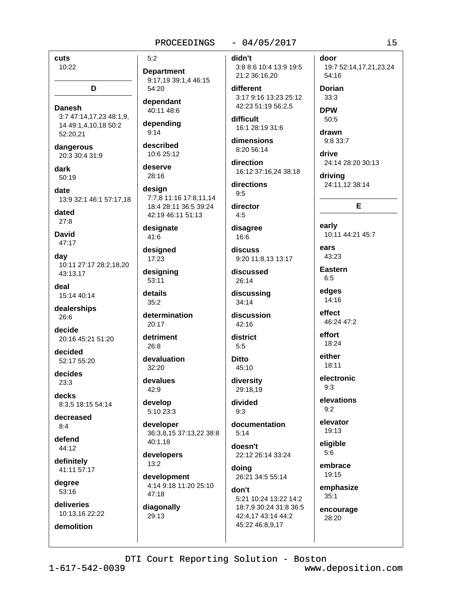cuts 10:22

**Danesh** 3:7 47:14,17,23 48:1,9, 14 49:1,4,10,18 50:2 52:20.21

D

dangerous 20:3 30:4 31:9

dark 50:19

date 13:9 32:1 46:1 57:17,18

dated  $27:8$ 

**David** 47:17

day 10:11 27:17 28:2,18,20 43:13.17

deal 15:14 40:14

dealerships  $26:6$ 

decide 20:16 45:21 51:20

decided 52:17 55:20

decides  $23:3$ 

decks 8:3.5 18:15 54:14

decreased  $8.4$ 

defend 44:12

definitely 41:11 57:17

degree 53:16

deliveries 10:13,16 22:22

demolition

 $5:2$ 

**Department** 9:17,19 39:1,4 46:15 54:20

dependant 40:11 48:6

depending  $9:14$ 

described 10:6 25:12

deserve 28:16

design 7:7,8 11:16 17:8,11,14 18:4 28:11 36:5 39:24 42:19 46:11 51:13

designate 41:6

designed 17:23

designing 53:11 details

 $35:2$ 

determination 20:17

detriment  $26.8$ 

devaluation  $32:20$ 

devalues  $42:9$ 

develop 5:10 23:3

developer 36:3,8,15 37:13,22 38:8 40:1,18

developers  $13:2$ 

development 4:14 9:18 11:20 25:10 47:18

diagonally 29:13

# $-04/05/2017$

didn't

3:8 8:6 10:4 13:9 19:5 21:2 36:16,20

different 3:17 9:16 13:23 25:12 42:23 51:19 56:2,5

difficult 16:1 28:19 31:6

dimensions 8:20 56:14

direction 16:12 37:16,24 38:18

directions  $9:5$ 

director  $4:5$ 

disagree 16:6

discuss 9:20 11:8.13 13:17

discussed 26:14

discussing 34:14

discussion 42:16

district  $5:5$ 

**Ditto** 45:10

diversity 29:18.19

divided  $9:3$ 

documentation  $5:14$ 

doesn't 22:12 26:14 33:24

doing 26:21 34:5 55:14

don't 5:21 10:24 13:22 14:2 18:7,9 30:24 31:8 36:5 42:4,17 43:14 44:2 45:22 46:8,9,17

door 19:7 52:14,17,21,23,24

54:16 **Dorian** 

 $33:3$ **DPW** 50:5

drawn  $9:833:7$ 

drive 24:14 28:20 30:13

drivina 24:11.12 38:14

# E

early 10:11 44:21 45:7

ears 43:23

**Eastern**  $6:5$ 

edges

14:16 effect

46:24 47:2

effort 18:24

either 18:11

electronic  $9:3$ 

elevations  $9:2$ 

elevator 19:13

eligible  $5:6$ 

embrace 19:15

emphasize  $35:1$ 

encourage 28:20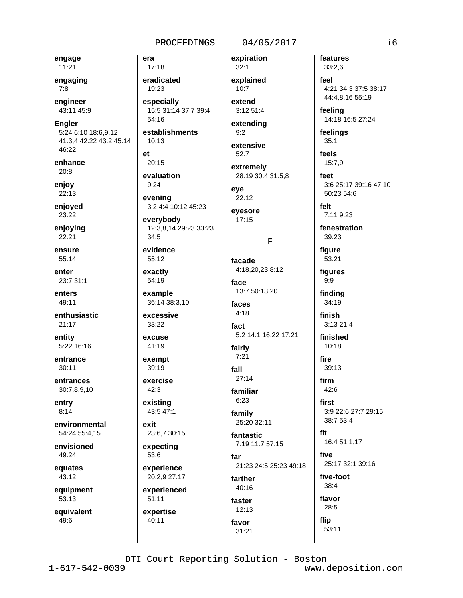# $-04/05/2017$

engage

11:21 engaging  $7:8$ 

engineer 43:11 45:9

**Engler** 

5:24 6:10 18:6,9,12 41:3,4 42:22 43:2 45:14 46:22

enhance  $20:8$ 

enjoy 22:13

enjoyed 23:22

enjoying 22:21

ensure 55:14

enter

23:7 31:1

enters 49:11

enthusiastic  $21:17$ 

entity 5:22 16:16

entrance  $30:11$ 

entrances 30:7,8,9,10

entry  $8:14$ 

environmental 54:24 55:4.15

envisioned 49:24

equates

43:12 equipment

53:13

equivalent 49:6

eradicated 19:23 especially

15:5 31:14 37:7 39:4 54:16

establishments  $10:13$ 

 $et$  $20:15$ 

era

17:18

evaluation  $9:24$ 

evening 3:2 4:4 10:12 45:23

everybody 12:3,8,14 29:23 33:23  $34:5$ 

evidence  $55:12$ 

exactly

54:19 example

36:14 38:3,10

excessive 33:22

excuse  $41:19$ 

exempt 39:19

exercise  $42:3$ 

existing 43:5 47:1

exit 23:6,7 30:15

expecting 53:6

experience 20:2,9 27:17

experienced  $51:11$ 

expertise 40:11

explained  $10:7$ extend

expiration

 $32:1$ 

3:12 51:4 extending

 $9:2$ 

extensive  $52:7$ 

extremely 28:19 30:4 31:5.8

eve 22:12

eyesore  $17:15$ 

F

facade 4:18,20,23 8:12

face 13:7 50:13,20 faces

 $4:18$ fact 5:2 14:1 16:22 17:21

fairly  $7:21$ 

fall  $27:14$ familiar

 $6:23$ family

25:20 32:11 fantastic

faster

favor

 $31:21$ 

 $12:13$ 

7:19 11:7 57:15 far

21:23 24:5 25:23 49:18 farther  $40:16$ 

features  $33:2,6$ feel 4:21 34:3 37:5 38:17

44:4,8,16 55:19

feeling 14:18 16:5 27:24

feelings  $35:1$ 

feels 15:7,9

feet 3:6 25:17 39:16 47:10 50:23 54:6

felt 7:11 9:23

fenestration 39:23

figure 53:21

figures  $9:9$ 

finding

34:19 finish

3:13 21:4

finished  $10:18$ 

fire 39:13

firm

 $42.6$ 

first 3:9 22:6 27:7 29:15

38:7 53:4

fit 16:4 51:1,17

five 25:17 32:1 39:16

five-foot  $38:4$ flavor

 $28:5$ flip 53:11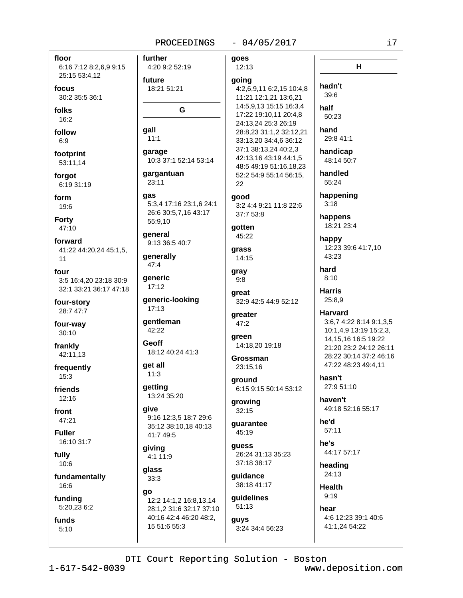qall

qas

go

15 51:6 55:3

# $-04/05/2017$

floor 6:16 7:12 8:2,6,9 9:15 25:15 53:4,12 focus

30:2 35:5 36:1

folks  $16:2$ 

follow  $6:9$ 

footprint 53:11,14

forgot 6:19 31:19

form 19:6

**Forty** 47:10

forward 41:22 44:20,24 45:1,5,  $11$ 

four 3:5 16:4,20 23:18 30:9 32:1 33:21 36:17 47:18

four-story 28:7 47:7

four-way 30:10

frankly 42:11,13

frequently  $15:3$ 

friends 12:16

front 47:21

**Fuller** 16:10 31:7

fully  $10:6$ 

fundamentally 16:6

funding 5:20,23 6:2

funds  $5:10$ 

further goes 4:20 9:2 52:19 12:13 future going 18:21 51:21 4:2,6,9,11 6:2,15 10:4,8 11:21 12:1,21 13:6,21 14:5,9,13 15:15 16:3,4 G  $11:1$ qaraqe 10:3 37:1 52:14 53:14 gargantuan 23:11 22 qood 5:3,4 17:16 23:1,6 24:1 3:2 4:4 9:21 11:8 22:6 26:6 30:5,7,16 43:17 37:7 53:8 55:9,10 gotten deneral 45:22 9:13 36:5 40:7 qrass generally 14:15 47:4 gray qeneric  $9:8$ 17:12 great generic-looking 17:13 greater **gentleman**  $47:2$ 42:22 green Geoff 14:18.20 19:18 18:12 40:24 41:3 Grossman get all 23:15,16  $11:3$ ground getting 13:24 35:20 growing aive  $32:15$ 9:16 12:3,5 18:7 29:6 guarantee 35:12 38:10,18 40:13 45:19 41:7 49:5 quess giving 4:1 11:9 37:18 38:17 glass guidance  $33:3$ 38:18 41:17 12:2 14:1.2 16:8.13.14

 $51:13$ 28:1,2 31:6 32:17 37:10 40:16 42:4 46:20 48:2, **guys** 

17:22 19:10,11 20:4,8 24:13,24 25:3 26:19 28:8,23 31:1,2 32:12,21 33:13,20 34:4,6 36:12 37:1 38:13,24 40:2,3 42:13.16 43:19 44:1.5 48:5 49:19 51:16,18,23 52:2 54:9 55:14 56:15,

32:9 42:5 44:9 52:12

6:15 9:15 50:14 53:12

26:24 31:13 35:23

guidelines

3:24 34:4 56:23

50:23 hand 29:8 41:1 handicap 48:14 50:7 handled 55:24 happening  $3:18$ happens 18:21 23:4 happy

 $H$ 

hadn't

39:6

half

12:23 39:6 41:7,10 43:23

hard  $8:10$ 

**Harris** 25:8,9

> **Harvard** 3:6,7 4:22 8:14 9:1,3,5 10:1,4,9 13:19 15:2,3, 14.15.16 16:5 19:22 21:20 23:2 24:12 26:11 28:22 30:14 37:2 46:16 47:22 48:23 49:4,11

hasn't 27:9 51:10

haven't 49:18 52:16 55:17

he'd  $57:11$ 

he's

44:17 57:17

heading 24:13

**Health**  $9:19$ 

hear 4:6 12:23 39:1 40:6 41:1,24 54:22

DTI Court Reporting Solution - Boston

www.deposition.com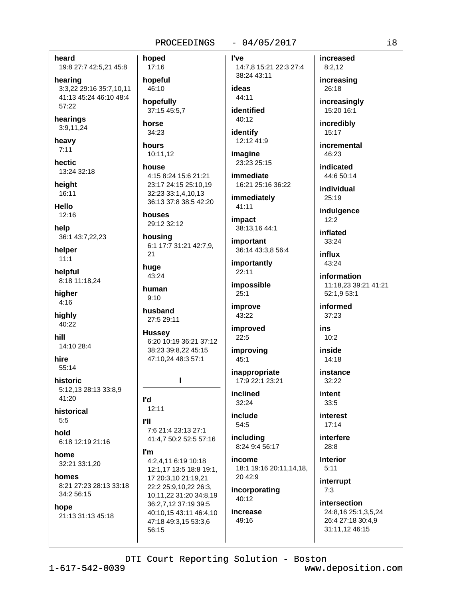heard 19:8 27:7 42:5,21 45:8

hearing 3:3,22 29:16 35:7,10,11 41:13 45:24 46:10 48:4  $57:22$ 

hearings 3:9,11,24

heavy  $7:11$ 

hectic 13:24 32:18

heiaht 16:11

Hello

 $12:16$ 

help 36:1 43:7,22,23

helper  $11:1$ 

helpful 8:18 11:18,24

hiaher  $4:16$ 

highly 40:22

hill 14:10 28:4

hire 55:14

historic 5:12,13 28:13 33:8,9 41:20

historical  $5:5$ 

hold 6:18 12:19 21:16

home 32:21 33:1,20

homes 8:21 27:23 28:13 33:18 34:2 56:15

#### hope

21:13 31:13 45:18

hoped 17:16

hopeful 46:10

hopefully 37:15 45:5,7

34:23 hours 10:11,12

horse

# house 4:15 8:24 15:6 21:21 23:17 24:15 25:10,19 32:23 33:1,4,10,13

36:13 37:8 38:5 42:20

houses 29:12 32:12

housing 6:1 17:7 31:21 42:7,9,  $21$ 

huge 43:24

human  $9.10$ 

husband 27:5 29:11

**Hussey** 6:20 10:19 36:21 37:12 38:23 39:8,22 45:15 47:10.24 48:3 57:1

т

l'd  $12:11$ 

- **PII** 7:6 21:4 23:13 27:1 41:4,7 50:2 52:5 57:16
- I'm 4:2.4.11 6:19 10:18 12:1,17 13:5 18:8 19:1, 17 20:3,10 21:19,21 22:2 25:9,10,22 26:3, 10,11,22 31:20 34:8,19 36:2,7,12 37:19 39:5 40:10,15 43:11 46:4,10 47:18 49:3,15 53:3,6 56:15

 $-04/05/2017$ 

l've 14:7,8 15:21 22:3 27:4 38:24 43:11

# ideas 44:11

identified 40:12

identify 12:12 41:9

imagine 23:23 25:15

immediate 16:21 25:16 36:22

immediately 41:11

impact 38:13,16 44:1

important 36:14 43:3,8 56:4

importantly 22:11

impossible  $25:1$ 

improve 43:22

improved  $22:5$ 

improving 45:1

inappropriate 17:9 22:1 23:21

inclined 32:24

include 54:5

including 8:24 9:4 56:17

income 18:1 19:16 20:11,14,18, 20 42:9

incorporating 40:12

increase 49:16

increased  $8:2,12$ 

increasing 26:18

increasingly 15:20 16:1

incredibly 15:17

incremental 46:23

indicated 44:6 50:14

individual  $25:19$ 

indulgence

 $12:2$ 

inflated 33:24

influx 43:24

information 11:18,23 39:21 41:21 52:1.9 53:1

informed 37:23

ins  $10:2$ 

inside  $14:18$ 

instance 32:22

> intent 33:5

interest  $17:14$ 

interfere  $28:8$ 

> **Interior**  $5:11$

interrupt  $7:3$ 

intersection 24:8,16 25:1,3,5,24 26:4 27:18 30:4,9 31:11,12 46:15

DTI Court Reporting Solution - Boston

www.deposition.com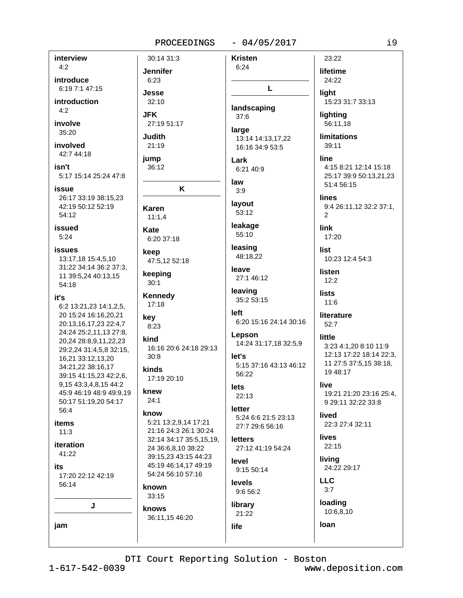**Jennifer** 

 $6:23$ 

**Jesse** 

**JFK** 

**Judith** 

 $21:19$ 

36:12

Karen

Kate

keep

keeping

 $30:1$ 

 $17:18$ 

key

 $8:23$ 

 $30:8$ 

kinds

knew

 $24:1$ 

know

known

 $33:15$ 

knows

kind

 $11:1.4$ 

jump

 $32:10$ 

# $-04/05/2017$

interview  $4:2$ introduce 6:19 7:1 47:15 introduction  $4:2$ involve  $35:20$ involved 42:7 44:18 isn't 5:17 15:14 25:24 47:8 issue 26:17 33:19 38:15.23 42:19 50:12 52:19 54:12 **issued**  $5:24$ **issues** 13:17,18 15:4,5,10 31:22 34:14 36:2 37:3, 11 39:5,24 40:13,15 54:18 it's 6:2 13:21,23 14:1,2,5, 20 15:24 16:16.20.21 20:13,16,17,23 22:4,7 24:24 25:2,11,13 27:8, 20,24 28:8,9,11,22,23 29:2,24 31:4,5,8 32:15, 16,21 33:12,13,20 34:21,22 38:16,17 39:15 41:15,23 42:2,6, 9,15 43:3,4,8,15 44:2 45:9 46:19 48:9 49:9.19 50:17 51:19,20 54:17 56:4 items  $11:3$ iteration 41:22 its 17:20 22:12 42:19 56:14 J jam

30:14 31:3 **Kristen**  $6:24$ L landscaping  $37:6$ 27:19 51:17 large 13:14 14:13,17,22 16:16 34:9 53:5 Lark 6:21 40:9 law K  $3:9$ layout 53:12 leakage 55:10 6:20 37:18 leasing 48:18,22 47:5,12 52:18 leave 27:1 46:12 leaving **Kennedy** 35:2 53:15 left 6:20 15:16 24:14 30:16 Lepson 14:24 31:17,18 32:5,9 16:16 20:6 24:18 29:13 let's 5:15 37:16 43:13 46:12 56:22 17:19 20:10 **lets**  $22:13$ letter 5:24 6:6 21:5 23:13 5:21 13:2,9,14 17:21 27:7 29:6 56:16 21:16 24:3 26:1 30:24 32:14 34:17 35:5,15,19, **letters** 24 36:6,8,10 38:22 27:12 41:19 54:24 39:15.23 43:15 44:23 level 45:19 46:14,17 49:19 9:15 50:14 54:24 56:10 57:16 levels 9:6 56:2 library 21:22 36:11,15 46:20 life

lifetime 24:22 liaht 15:23 31:7 33:13 lighting 56:11.18 **limitations**  $39:11$ line 4:15 8:21 12:14 15:18 25:17 39:9 50:13.21.23 51:4 56:15 **lines** 9:4 26:11,12 32:2 37:1,  $\overline{2}$ link 17:20 list 10:23 12:4 54:3 listen  $12:2$ **lists**  $11:6$ literature  $52:7$ little 3:23 4:1.20 8:10 11:9 12:13 17:22 18:14 22:3, 11 27:5 37:5,15 38:18, 19 48:17 live 19:21 21:20 23:16 25:4, 9 29:11 32:22 33:8 **lived** 22:3 27:4 32:11 **lives** 22:15 livina 24:22 29:17 **LLC**  $3:7$ loading 10:6,8,10

DTI Court Reporting Solution - Boston

www.deposition.com

loan

23:22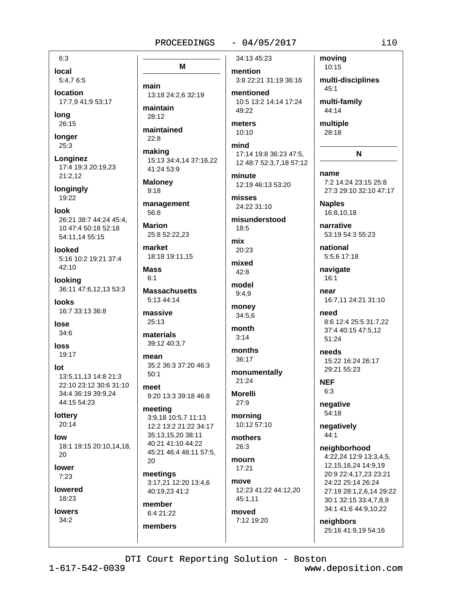# $-04/05/2017$

 $6:3$ 

local 5:4,76:5

**location** 17:7.9 41:9 53:17

long 26:15

longer 25:3

Longinez 17:4 19:3 20:19.23  $21:2.12$ 

longingly 19:22

 $I \cap \cap k$ 26:21 38:7 44:24 45:4. 10 47:4 50:18 52:18 54:11,14 55:15

looked 5:16 10:2 19:21 37:4  $42:10$ 

looking 36:11 47:6.12.13 53:3

**looks** 16:7 33:13 36:8

lose  $34:6$ 

loss 19:17

 $Int$ 

13:5.11.13 14:8 21:3 22:10 23:12 30:6 31:10 34:4 36:19 39:9,24 44:15 54:23

lottery 20:14

low 18:1 19:15 20:10,14,18, 20

lower  $7:23$ 

lowered 18:23

**lowers**  $34:2$ 

M main 13:18 24:2,6 32:19 maintain  $28.12$ maintained  $22:8$ making 15:13 34:4,14 37:16,22 41:24 53:9 **Maloney**  $9:18$ 

management 56:8

**Marion** 25:8 52:22.23

market 18:18 19:11,15

**Mass**  $6.1$ 

**Massachusetts** 5:13 44:14

massive  $25:13$ 

materials 39:12 40:3.7

mean 35:2 36:3 37:20 46:3  $50:1$ 

meet 9:20 13:3 39:18 46:8

meeting 3:9,18 10:5,7 11:13 12:2 13:2 21:22 34:17 35:13,15,20 38:11 40:21 41:10 44:22 45:21 46:4 48:11 57:5, 20

meetings 3:17,21 12:20 13:4,6 40:19.23 41:2

member 6:4 21:22 members 34:13 45:23

mention 3:8 22:21 31:19 36:16

mentioned 10:5 13:2 14:14 17:24 49:22

meters  $10:10$ 

mind 17:14 19:8 36:23 47:5, 12 48:7 52:3,7,18 57:12

minute 12:19 46:13 53:20

misses 24:22 31:10

misunderstood  $18:5$ 

mix 20:23 mixed

 $42:8$ model

 $9:4,9$ money

 $34:5,6$ 

month  $3:14$ 

months  $36:17$ 

monumentally

 $21:24$ **Morelli** 

morning 10:12 57:10

27:9

mothers  $26:3$ 

mourn  $17:21$ 

move 12:23 41:22 44:12,20 45:1.11

moved 7:12 19:20 moving 10:15 multi-disciplines  $45:1$ 

multi-family 44:14

multiple 28:18

N

name

7:2 14:24 23:15 25:8 27:3 29:10 32:10 47:17

**Naples** 16:8,10,18

narrative 53:19 54:3 55:23

national 5:5,6 17:18

navigate  $16:1$ 

near 16:7,11 24:21 31:10

need 8:6 12:4 25:5 31:7,22 37:4 40:15 47:5,12 51:24

phoon 15:22 16:24 26:17 29:21 55:23

**NEF**  $6:3$ 

> negative 54:18

negatively  $44:1$ 

neighborhood 4:22.24 12:9 13:3.4.5.

12, 15, 16, 24 14: 9, 19 20:9 22:4,17,23 23:21 24:22 25:14 26:24 27:19 28:1,2,6,14 29:22 30:1 32:15 33:4,7,8,9 34:1 41:6 44:9,10,22

neighbors 25:16 41:9,19 54:16

www.deposition.com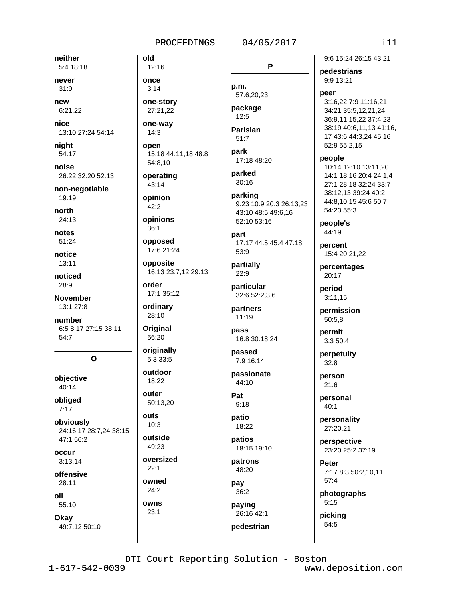### $-04/05/2017$

neither 5:4 18:18 never

 $31:9$ 

new

6:21,22

nice 13:10 27:24 54:14

night 54:17

noise 26:22 32:20 52:13

non-negotiable 19:19

north  $24:13$ 

notes 51:24

notice  $13:11$ 

noticed  $28:9$ 

**November** 13:1 27:8

number 6:5 8:17 27:15 38:11 54:7

 $\mathbf{o}$ 

objective 40:14

obliged  $7:17$ 

obviously 24:16.17 28:7.24 38:15 47:1 56:2

occur  $3:13,14$ 

offensive  $28:11$ 

oil

55:10 Okay

49:7,12 50:10

12:16 once  $3:14$ 

old

one-story 27:21,22

one-way  $14:3$ 

open 15:18 44:11,18 48:8 54:8,10

operating  $43:14$ 

opinion  $42:2$ 

opinions  $36.1$ 

opposed

17:6 21:24 opposite

16:13 23:7,12 29:13

order 17:1 35:12

ordinary 28:10

Original 56:20

originally 5:3 33:5

outdoor 18:22

outer 50:13,20

outs  $10:3$ 

outside

49:23 oversized

 $22:1$ 

owned

 $24:2$ owns

 $23:1$ 

P

p.m. 57:6,20,23

package  $12:5$ 

**Parisian**  $51:7$ 

park 17:18 48:20

parked  $30:16$ 

parking 9:23 10:9 20:3 26:13,23 43:10 48:5 49:6,16 52:10 53:16

part 17:17 44:5 45:4 47:18 53:9

partially  $22:9$ 

particular 32:6 52:2,3,6

partners  $11:19$ 

pass 16:8 30:18.24

passed 7:9 16:14

passionate 44:10

Pat  $9:18$ 

patio 18:22

patios 18:15 19:10

patrons 48:20

pay  $36:2$ 

paying 26:16 42:1

pedestrian

9:6 15:24 26:15 43:21

pedestrians 9:9 13:21

peer 3:16.22 7:9 11:16.21 34:21 35:5,12,21,24 36:9,11,15,22 37:4,23 38:19 40:6.11.13 41:16. 17 43:6 44:3,24 45:16 52:9 55:2,15

people

10:14 12:10 13:11,20 14:1 18:16 20:4 24:1,4 27:1 28:18 32:24 33:7 38:12.13 39:24 40:2 44:8.10.15 45:6 50:7  $54.2355.3$ 

people's 44:19

percent 15:4 20:21,22

percentages 20:17

period  $3:11,15$ 

permission 50:5.8

permit 3:3 50:4

perpetuity  $32:8$ 

person  $21:6$ 

> personal  $40:1$

personality 27:20,21

perspective 23:20 25:2 37:19

Peter 7:17 8:3 50:2,10,11  $57:4$ 

photographs  $5:15$ 

picking 54:5

DTI Court Reporting Solution - Boston

 $1 - 617 - 542 - 0039$ 

www.deposition.com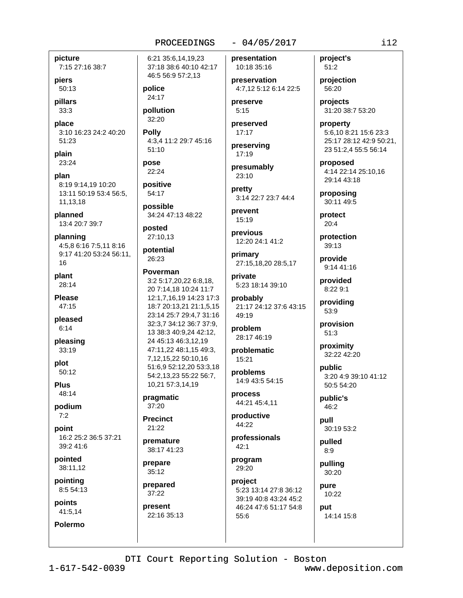# picture

7:15 27:16 38:7

piers 50:13

pillars  $33:3$ 

place 3:10 16:23 24:2 40:20

plain 23:24

51:23

plan 8:19 9:14,19 10:20 13:11 50:19 53:4 56:5, 11,13,18

planned 13:4 20:7 39:7

planning 4:5,8 6:16 7:5,11 8:16 9:17 41:20 53:24 56:11, 16

plant 28:14

**Please** 47:15

pleased  $6:14$ 

pleasing  $33:19$ 

plot  $50:12$ 

**Plus** 48:14

podium  $7:2$ 

point 16:2 25:2 36:5 37:21 39:2 41:6

pointed 38:11,12

pointing 8:5 54:13

points 41:5,14

**Polermo** 

6:21 35:6.14.19.23 37:18 38:6 40:10 42:17 46:5 56:9 57:2,13

PROCEEDINGS

police 24:17

pollution 32:20

**Polly** 4:3,4 11:2 29:7 45:16  $51:10$ 

pose 22:24

positive 54:17

possible 34:24 47:13 48:22

posted 27:10,13

potential 26:23

Poverman 3:2 5:17,20,22 6:8,18, 20 7:14.18 10:24 11:7 12:1,7,16,19 14:23 17:3 18:7 20:13,21 21:1,5,15 23:14 25:7 29:4.7 31:16 32:3,7 34:12 36:7 37:9, 13 38:3 40:9,24 42:12, 24 45:13 46:3,12,19 47:11,22 48:1,15 49:3, 7,12,15,22 50:10,16 51:6.9 52:12.20 53:3.18 54:2,13,23 55:22 56:7, 10,21 57:3,14,19

pragmatic 37:20

**Precinct** 21:22

premature

38:17 41:23 prepare 35:12

prepared 37:22

present 22:16 35:13 presentation 10:18 35:16

preservation 4:7.12 5:12 6:14 22:5

preserve  $5:15$ 

preserved  $17:17$ 

preserving 17:19

presumably 23:10

pretty 3:14 22:7 23:7 44:4

prevent 15:19

previous 12:20 24:1 41:2

primary 27:15,18,20 28:5,17

private 5:23 18:14 39:10

probably 21:17 24:12 37:6 43:15 49:19

problem 28:17 46:19

problematic 15:21

problems 14:9 43:5 54:15

process 44:21 45:4,11

productive 44:22

professionals  $42:1$ 

program 29:20

project 5:23 13:14 27:8 36:12 39:19 40:8 43:24 45:2 46:24 47:6 51:17 54:8 55:6

project's  $51:2$ 

projection 56:20

projects 31:20 38:7 53:20

property 5:6,10 8:21 15:6 23:3 25:17 28:12 42:9 50:21, 23 51:2,4 55:5 56:14

proposed 4:14 22:14 25:10,16 29:14 43:18

proposing 30:11 49:5

protect  $20:4$ 

protection 39:13

provide  $9:1441:16$ 

provided 8:22 9:1

providing 53:9

provision  $51:3$ 

proximity 32:22 42:20

public 3:20 4:9 39:10 41:12 50:5 54:20

public's 46:2

pull 30:19 53:2

pulled  $8:9$ pulling

30:20

pure 10:22 put

14:14 15:8

DTI Court Reporting Solution - Boston

 $1 - 617 - 542 - 0039$ 

www.deposition.com

 $i12$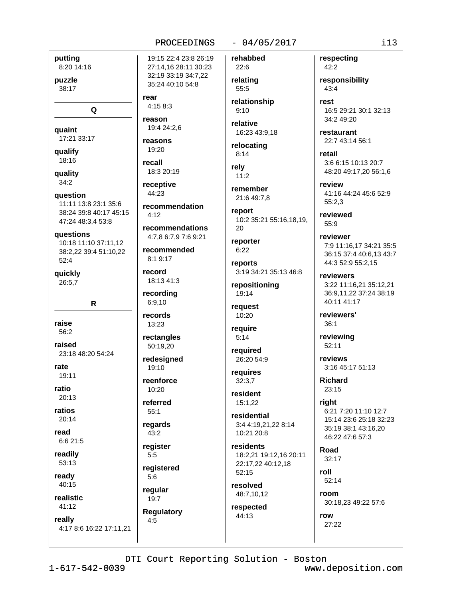rear

 $4:158:3$ 

19:4 24:2.6

18:3 20:19

recommendation

recommendations

4:7,8 6:7,9 7:6 9:21

recommended

8:1 9:17

18:13 41:3

recording

6:9,10

records

13:23

rectangles

50:19,20

redesigned

19:10

 $10.20$ 

referred

regards

reaister

registered

**Requlatory** 

 $43:2$ 

 $5:5$ 

 $5:6$ 

regular

 $19:7$ 

 $55:1$ 

reenforce

record

receptive

44:23

 $4:12$ 

reason

reasons

19:20

recall

putting

puzzle

38:17

quaint

qualify

18:16

quality

 $34:2$ 

question

questions

 $52:4$ 

quickly

26:5,7

raise

56:2

raised

rate

ratio

19:11

 $20:13$ 

 $20:14$ 

6:6 21:5

readily

53:13

ready

 $40:15$ 

realistic

 $41:12$ 

really

ratios

read

11:11 13:8 23:1 35:6

47:24 48:3,4 53:8

38:24 39:8 40:17 45:15

10:18 11:10 37:11,12

38:2.22 39:4 51:10.22

R.

23:18 48:20 54:24

17:21 33:17

8:20 14:16

Q

# $-04/05/2017$

rehabbed 19:15 22:4 23:8 26:19 27:14,16 28:11 30:23 32:19 33:19 34:7,22 relating 35:24 40:10 54:8

> relationship  $9:10$

22:6

55:5

relative 16:23 43:9.18

relocating  $8:14$ 

rely  $11:2$ 

remember 21:6 49:7.8

report 10:2 35:21 55:16.18.19.  $20$ 

reporter  $6:22$ 

reports 3:19 34:21 35:13 46:8

repositioning 19:14

request 10:20

require  $5:14$ 

reauired 26:20 54:9

requires  $32:3.7$ 

resident 15:1,22

residential 3:4 4:19,21,22 8:14 10:21 20:8

residents 18:2.21 19:12.16 20:11 22:17,22 40:12,18 52:15

resolved 48:7,10,12

respected 44:13

DTI Court Reporting Solution - Boston

respecting 42:2

responsibility  $43:4$ 

rest 16:5 29:21 30:1 32:13 34:2 49:20

restaurant 22:7 43:14 56:1

retail 3:6 6:15 10:13 20:7 48:20 49:17,20 56:1,6

review 41:16 44:24 45:6 52:9  $55:2.3$ 

reviewed  $55:9$ 

reviewer 7:9 11:16.17 34:21 35:5 36:15 37:4 40:6,13 43:7 44:3 52:9 55:2,15

reviewers 3:22 11:16,21 35:12,21 36:9.11.22 37:24 38:19 40:11 41:17

reviewers'  $36:1$ 

reviewing 52:11

reviews 3:16 45:17 51:13

**Richard** 23:15

right 6:21 7:20 11:10 12:7 15:14 23:6 25:18 32:23 35:19 38:1 43:16,20 46:22 47:6 57:3

Road  $32:17$ 

roll  $52:14$ 

room

30:18,23 49:22 57:6

row 27:22

#### $4:5$ 4:17 8:6 16:22 17:11,21

 $1 - 617 - 542 - 0039$ 

www.deposition.com

 $i13$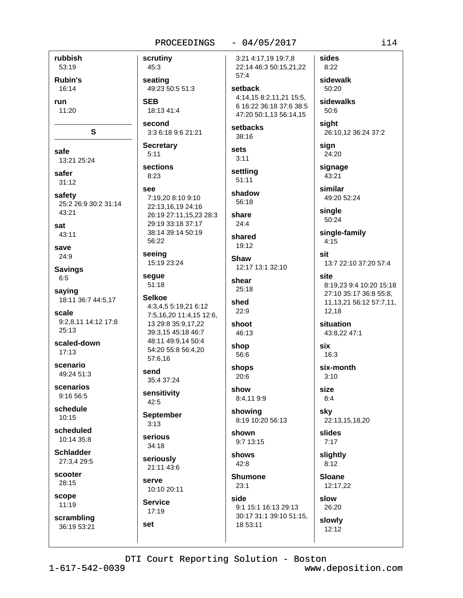45:3

**SEB** 

 $5:11$ 

 $8:23$ 

see

send

 $42:5$ 

 $3:13$ 

set

### $-04/05/2017$

rubbish 53:19 **Rubin's** 16:14 run 11:20 S safe  $13.2125.24$ safer  $31:12$ safety 25:2 26:9 30:2 31:14  $43:21$ sat  $43:11$ save 24:9 **Savings**  $6:5$ saying 18:11 36:7 44:5,17 scale 9:2.8.11 14:12 17:8 25:13 scaled-down  $17:13$ scenario 49:24 51:3 scenarios  $9:1656:5$ schedule  $10:15$ scheduled  $10.14.35.8$ **Schladder** 27:3,4 29:5 scooter 28:15 scope  $11:19$ scrambling 36:19 53:21

scrutiny 3:21 4:17,19 19:7,8 22:14 46:3 50:15,21,22  $57:4$ seating setback 49:23 50:5 51:3 4:14.15 8:2.11.21 15:5. 6 16:22 36:18 37:6 38:5 18:13 41:4 47:20 50:1,13 56:14,15 second setbacks 3:3 6:18 9:6 21:21  $38.16$ **Secretary** sets  $3:11$ **sections** settling  $51:11$ shadow 7:19.20 8:10 9:10  $56:18$ 22:13,16,19 24:16 26:19 27:11,15,23 28:3 share 29:19 33:18 37:17  $24:4$ 38:14 39:14 50:19 shared 56:22 19:12 seeing Shaw 15:19 23:24 12:17 13:1 32:10 segue shear  $51:18$  $25:18$ **Selkoe** shed 4:3,4,5 5:19,21 6:12  $22:9$ 7:5,16,20 11:4,15 12:6, 13 29:8 35:9,17,22 shoot 39:3,15 45:18 46:7 46:13 48:11 49:9,14 50:4 shop 54:20 55:8 56:4,20 56:6 57:6.16 shops 20:6 35:4 37:24 show sensitivity 8:4,119:9 showing **September** 8:19 10:20 56:13 shown serious 9:7 13:15 34:18 shows seriously  $42:8$ 21:11 43:6 **Shumone** serve  $23:1$  $10:10.20:11$ side **Service** 9:1 15:1 16:13 29:13 17:19 30:17 31:1 39:10 51:15, 18 53:11

sides  $8:22$ sidewalk 50:20 sidewalks 50:6 siaht 26:10,12 36:24 37:2 sign 24:20 signage 43:21 similar 49:20 52:24 single 50:24 single-family  $4:15$ sit 13:7 22:10 37:20 57:4 site 8:19.23 9:4 10:20 15:18 27:10 35:17 36:8 55:8. 11, 13, 21 56: 12 57: 7, 11, 12,18 situation 43:8,22 47:1 six  $16:3$ six-month  $3:10$ size  $8:4$ sky 22:13,15,18,20 slides  $7:17$ slightly  $8:12$ **Sloane** 12:17,22 slow 26:20 slowly  $12:12$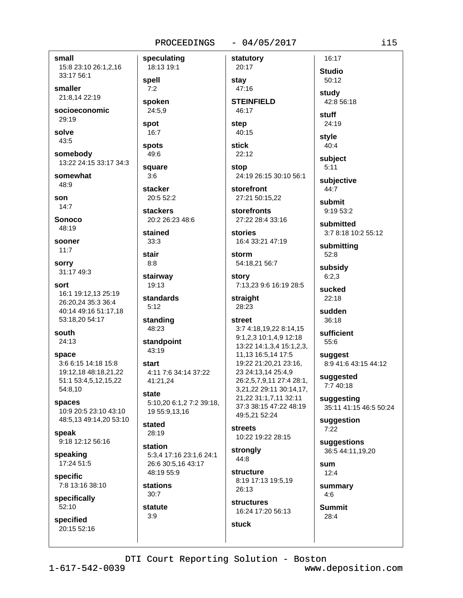## PROCEEDINGS

## $-04/05/2017$

small 15:8 23:10 26:1,2,16 33:17 56:1

smaller 21:8.14 22:19

socioeconomic 29:19

solve 43:5

somebody 13:22 24:15 33:17 34:3

somewhat 48:9

son  $14:7$ 

**Sonoco** 

 $48.19$ 

sooner  $11:7$ 

**SOFFV** 31:17 49:3

sort 16:1 19:12.13 25:19 26:20,24 35:3 36:4 40:14 49:16 51:17,18 53:18,20 54:17

south

 $24:13$ 

space 3:6 6:15 14:18 15:8 19:12,18 48:18,21,22 51:1 53:4,5,12,15,22 54:8,10

spaces 10:9 20:5 23:10 43:10 48:5,13 49:14,20 53:10

speak 9:18 12:12 56:16

speaking 17:24 51:5

specific 7:8 13:16 38:10

specifically 52:10

specified 20:15 52:16 speculating 18:13 19:1 spell  $7:2$ spoken 24:5,9 spot  $16:7$ spots 49:6 square  $3:6$ stacker 20:5 52:2 **stackers** 20:2 26:23 48:6 stained  $33:3$ stair  $8:8$ stairway 19:13 standards  $5:12$ standing 48:23 standpoint  $43:19$ start 4:11 7:6 34:14 37:22 41:21.24 state 5:10,20 6:1,2 7:2 39:18, 19 55:9,13,16 stated

28:19

station 5:3.4 17:16 23:1.6 24:1 26:6 30:5,16 43:17 48:19 55:9

**stations**  $30:7$ 

statute  $3:9$ 

20:17 stay 47:16 **STEINFIELD** 46:17

statutory

step 40:15

**stick**  $22:12$ 

stop 24:19 26:15 30:10 56:1

storefront 27:21 50:15,22

**storefronts** 27:22 28:4 33:16

stories 16:4 33:21 47:19

storm 54:18.21 56:7

story 7:13,23 9:6 16:19 28:5

straight 28:23

# street 3:7 4:18,19,22 8:14,15 9:1,2,3 10:1,4,9 12:18 13:22 14:1,3,4 15:1,2,3, 11,13 16:5,14 17:5 19:22 21:20,21 23:16, 23 24:13,14 25:4,9 26:2,5,7,9,11 27:4 28:1, 3,21,22 29:11 30:14,17, 21,22 31:1,7,11 32:11 37:3 38:15 47:22 48:19

49:5,21 52:24 **streets** 10:22 19:22 28:15

strongly 44:8

structure 8:19 17:13 19:5.19  $26.13$ 

**structures** 16:24 17:20 56:13 Studio 50:12 study

16:17

42:8 56:18

stuff 24:19

style  $40:4$ 

subject  $5:11$ 

subjective 44:7

submit 9:19 53:2

submitted 3:7 8:18 10:2 55:12

submitting  $52:8$ 

subsidy  $6:2,3$ 

sucked  $22:18$ 

sudden 36:18

sufficient 55:6

suggest 8:9 41:6 43:15 44:12

suggested 7:7 40:18

suggesting 35:11 41:15 46:5 50:24

suggestion  $7:22$ 

suggestions 36:5 44:11,19,20

sum  $12:4$ 

summary  $4:6$ 

**Summit**  $28:4$ 

**stuck** 

 $1 - 617 - 542 - 0039$ 

www.deposition.com

i15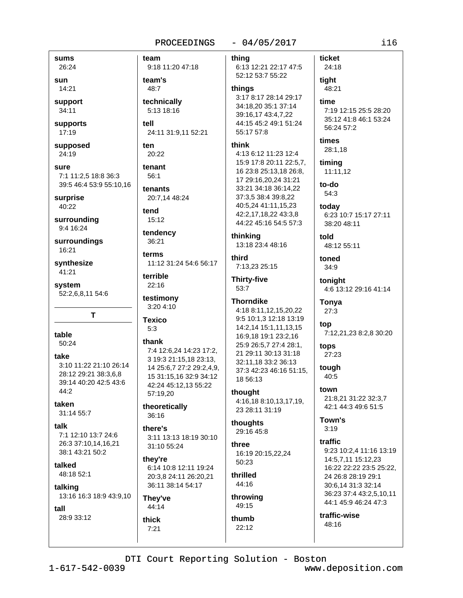## PROCEEDINGS

## $-04/05/2017$

sums 26:24

sun 14:21

support 34:11

supports 17:19

supposed 24:19

sure 7:1 11:2.5 18:8 36:3 39:5 46:4 53:9 55:10,16

surprise 40:22

surrounding 9:4 16:24

surroundings 16:21

synthesize 41:21

system 52:2,6,8,11 54:6

table  $50:24$ 

take 3:10 11:22 21:10 26:14 28:12 29:21 38:3,6,8 39:14 40:20 42:5 43:6  $44:2$ 

T

taken  $31:1455:7$ 

talk 7:1 12:10 13:7 24:6 26:3 37:10,14,16,21 38:1 43:21 50:2

talked 48:18 52:1

talking 13:16 16:3 18:9 43:9,10

thick

 $7:21$ 

tall 28:9 33:12 team thina 9:18 11:20 47:18 team's 48:7 thinas technically 5:13 18:16 tell 24:11 31:9,11 52:21 55:17 57:8 ten think 20:22 tenant  $56:1$ tenants 20:7,14 48:24 tend 15:12 tendency 36:21 terms third 11:12 31:24 54:6 56:17 terrible 22:16 53:7 testimony 3:20 4:10 **Texico**  $5:3$ thank 7:4 12:6,24 14:23 17:2, 3 19:3 21:15,18 23:13, 14 25:6,7 27:2 29:2,4,9, 15 31:15,16 32:9 34:12 42:24 45:12.13 55:22 thought 57:19,20 theoretically 36:16 thoughts there's 3:11 13:13 18:19 30:10 three 31:10 55:24 they're 50:23 6:14 10:8 12:11 19:24 thrilled 20:3.8 24:11 26:20.21 44:16 36:11 38:14 54:17 throwing They've 49:15 44:14

6:13 12:21 22:17 47:5 52:12 53:7 55:22

3:17 8:17 28:14 29:17 time 34:18.20 35:1 37:14 39:16,17 43:4,7,22 44:15 45:2 49:1 51:24

ticket

tight

24:18

4:13 6:12 11:23 12:4 15:9 17:8 20:11 22:5,7, 16 23:8 25:13,18 26:8, 17 29:16,20,24 31:21 33:21 34:18 36:14,22 37:3,5 38:4 39:8,22 40:5,24 41:11,15,23 42:2,17,18,22 43:3,8 44:22 45:16 54:5 57:3

thinking 13:18 23:4 48:16

7:13,23 25:15

**Thirty-five** 

# **Thorndike**

4:18 8:11,12,15,20,22 9:5 10:1,3 12:18 13:19 14:2,14 15:1,11,13,15 16:9,18 19:1 23:2,16 25:9 26:5,7 27:4 28:1, 21 29:11 30:13 31:18 32:11,18 33:2 36:13 37:3 42:23 46:16 51:15, 18 56:13

4:16,18 8:10,13,17,19, 23 28:11 31:19

29:16 45:8

16:19 20:15,22,24

thumb  $22:12$ 

48:21 7:19 12:15 25:5 28:20 35:12 41:8 46:1 53:24 56:24 57:2 times 28:1,18 timing 11:11,12 to-do 54:3 today 6:23 10:7 15:17 27:11 38:20 48:11 told 48:12 55:11 toned  $34:9$ toniaht 4:6 13:12 29:16 41:14

Tonya  $27:3$ 

top 7:12,21,23 8:2,8 30:20

tops 27:23 tough

40:5 town

21:8,21 31:22 32:3,7 42:1 44:3 49:6 51:5

Town's  $3:19$ 

traffic 9:23 10:2.4 11:16 13:19 14:5,7,11 15:12,23 16:22 22:22 23:5 25:22, 24 26:8 28:19 29:1 30:6,14 31:3 32:14 36:23 37:4 43:2,5,10,11 44:1 45:9 46:24 47:3

traffic-wise 48:16

DTI Court Reporting Solution - Boston

 $1 - 617 - 542 - 0039$ 

www.deposition.com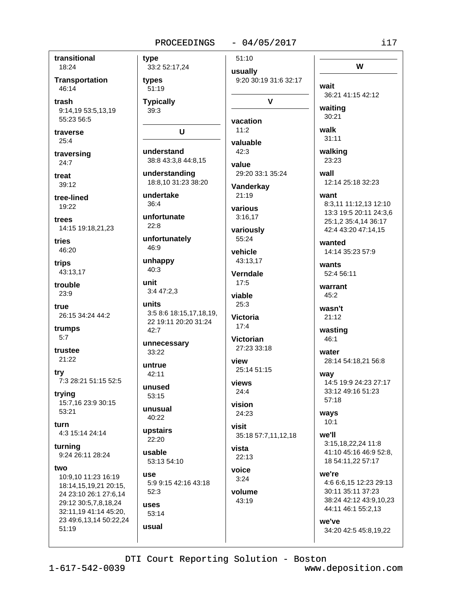### PROCEEDINGS

# $-04/05/2017$

transitional 18:24

**Transportation** 46:14

trash 9:14,19 53:5,13,19 55:23 56:5

traverse  $25:4$ 

traversing  $24:7$ 

treat  $39:12$ 

tree-lined 19:22

trees 14:15 19:18,21,23

tries 46:20

trips 43:13,17

trouble  $23:9$ 

true 26:15 34:24 44:2

trumps  $5:7$ 

trustee 21:22

try 7:3 28:21 51:15 52:5

trying 15:7,16 23:9 30:15 53:21

turn 4:3 15:14 24:14

turnina 9:24 26:11 28:24

two

10:9,10 11:23 16:19 18:14,15,19,21 20:15, 24 23:10 26:1 27:6,14 29:12 30:5,7,8,18,24 32:11,19 41:14 45:20, 23 49:6,13,14 50:22,24  $51:19$ 

type 33:2 52:17,24 types 51:19 **Typically** 39:3 U understand 38:8 43:3,8 44:8,15 understanding

18:8,10 31:23 38:20 undertake

36:4 unfortunate

 $22:8$ 

unfortunately 46:9

unhappy  $40:3$ 

**unit**  $3:447:2.3$ 

units 3:5 8:6 18:15.17.18.19. 22 19:11 20:20 31:24 42:7

unnecessary 33:22

untrue 42:11

unused  $53:15$ 

unusual  $40:22$ 

upstairs  $22.20$ 

usable 53:13 54:10

use 5:9 9:15 42:16 43:18  $52:3$ 

**uses** 53:14 usual

 $51:10$ usually 9:20 30:19 31:6 32:17  $\mathbf v$ vacation  $11:2$ valuable  $42.3$ value 29:20 33:1 35:24 Vanderkay 21:19 various  $3:16.17$ variously 55:24 vehicle 43:13.17 Verndale  $17:5$ viable  $25:3$ **Victoria**  $17.4$ **Victorian** 27:23 33:18 view 25:14 51:15 views  $24:4$ vision 24:23 visit 35:18 57:7,11,12,18 vista

voice  $3:24$ 

 $43:19$ 

22:13

volume

walk  $31:11$ walking 23:23 wall 12:14 25:18 32:23 want 8:3,11 11:12,13 12:10 13:3 19:5 20:11 24:3,6 25:1,2 35:4,14 36:17 42:4 43:20 47:14.15 wanted 14:14 35:23 57:9 wants

wait

waiting

30:21

52:4 56:11

warrant  $45:2$ 

wasn't  $21:12$ 

wasting  $46:1$ 

water 28:14 54:18,21 56:8

way 14:5 19:9 24:23 27:17 33:12 49:16 51:23  $57:18$ 

ways  $10:1$ 

we'll 3:15,18,22,24 11:8 41:10 45:16 46:9 52:8, 18 54:11,22 57:17

we're 4:6 6:6,15 12:23 29:13 30:11 35:11 37:23 38:24 42:12 43:9.10.23

we've 34:20 42:5 45:8,19,22

44:11 46:1 55:2,13

DTI Court Reporting Solution - Boston

www.deposition.com

W

36:21 41:15 42:12